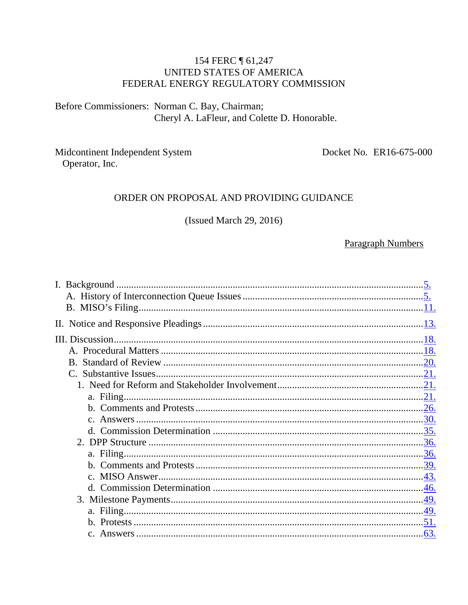#### 154 FERC | 61,247 UNITED STATES OF AMERICA FEDERAL ENERGY REGULATORY COMMISSION

Before Commissioners: Norman C. Bay, Chairman; Cheryl A. LaFleur, and Colette D. Honorable.

Midcontinent Independent System Operator, Inc.

Docket No. ER16-675-000

#### ORDER ON PROPOSAL AND PROVIDING GUIDANCE

(Issued March 29, 2016)

#### **Paragraph Numbers**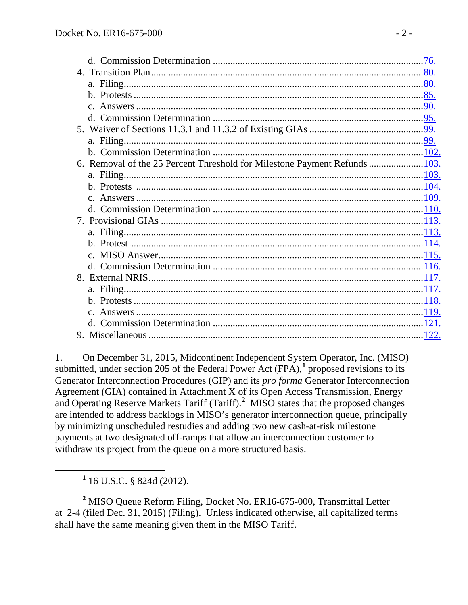| 6. Removal of the 25 Percent Threshold for Milestone Payment Refunds 103. |  |
|---------------------------------------------------------------------------|--|
|                                                                           |  |
|                                                                           |  |
|                                                                           |  |
|                                                                           |  |
|                                                                           |  |
|                                                                           |  |
|                                                                           |  |
|                                                                           |  |
|                                                                           |  |
|                                                                           |  |
|                                                                           |  |
|                                                                           |  |
|                                                                           |  |
|                                                                           |  |
|                                                                           |  |

1. On December 31, 2015, Midcontinent Independent System Operator, Inc. (MISO) submitted, under section 205 of the Federal Power Act (FPA),**[1](#page-1-0)** proposed revisions to its Generator Interconnection Procedures (GIP) and its *pro forma* Generator Interconnection Agreement (GIA) contained in Attachment X of its Open Access Transmission, Energy and Operating Reserve Markets Tariff (Tariff). **[2](#page-1-1)** MISO states that the proposed changes are intended to address backlogs in MISO's generator interconnection queue, principally by minimizing unscheduled restudies and adding two new cash-at-risk milestone payments at two designated off-ramps that allow an interconnection customer to withdraw its project from the queue on a more structured basis.

**<sup>1</sup>** 16 U.S.C. § 824d (2012).

<span id="page-1-1"></span><span id="page-1-0"></span>**<sup>2</sup>** MISO Queue Reform Filing, Docket No. ER16-675-000, Transmittal Letter at 2-4 (filed Dec. 31, 2015) (Filing). Unless indicated otherwise, all capitalized terms shall have the same meaning given them in the MISO Tariff.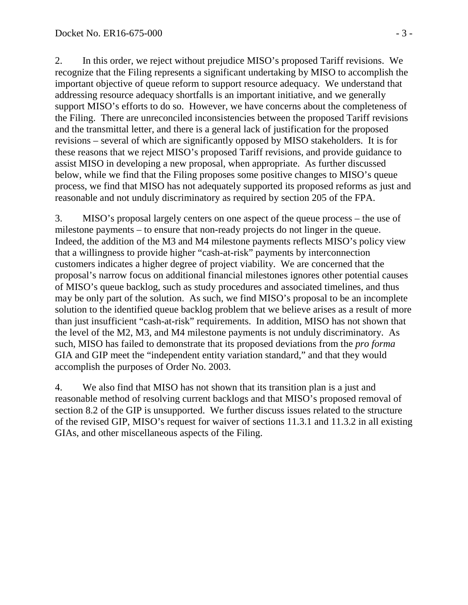2. In this order, we reject without prejudice MISO's proposed Tariff revisions. We recognize that the Filing represents a significant undertaking by MISO to accomplish the important objective of queue reform to support resource adequacy. We understand that addressing resource adequacy shortfalls is an important initiative, and we generally support MISO's efforts to do so. However, we have concerns about the completeness of the Filing. There are unreconciled inconsistencies between the proposed Tariff revisions and the transmittal letter, and there is a general lack of justification for the proposed revisions – several of which are significantly opposed by MISO stakeholders. It is for these reasons that we reject MISO's proposed Tariff revisions, and provide guidance to assist MISO in developing a new proposal, when appropriate. As further discussed below, while we find that the Filing proposes some positive changes to MISO's queue process, we find that MISO has not adequately supported its proposed reforms as just and reasonable and not unduly discriminatory as required by section 205 of the FPA.

3. MISO's proposal largely centers on one aspect of the queue process – the use of milestone payments – to ensure that non-ready projects do not linger in the queue. Indeed, the addition of the M3 and M4 milestone payments reflects MISO's policy view that a willingness to provide higher "cash-at-risk" payments by interconnection customers indicates a higher degree of project viability. We are concerned that the proposal's narrow focus on additional financial milestones ignores other potential causes of MISO's queue backlog, such as study procedures and associated timelines, and thus may be only part of the solution. As such, we find MISO's proposal to be an incomplete solution to the identified queue backlog problem that we believe arises as a result of more than just insufficient "cash-at-risk" requirements. In addition, MISO has not shown that the level of the M2, M3, and M4 milestone payments is not unduly discriminatory. As such, MISO has failed to demonstrate that its proposed deviations from the *pro forma* GIA and GIP meet the "independent entity variation standard," and that they would accomplish the purposes of Order No. 2003.

4. We also find that MISO has not shown that its transition plan is a just and reasonable method of resolving current backlogs and that MISO's proposed removal of section 8.2 of the GIP is unsupported. We further discuss issues related to the structure of the revised GIP, MISO's request for waiver of sections 11.3.1 and 11.3.2 in all existing GIAs, and other miscellaneous aspects of the Filing.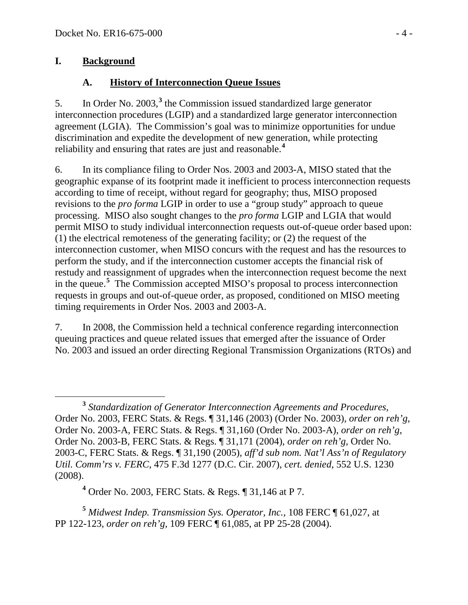# **I. Background**

# <span id="page-3-1"></span><span id="page-3-0"></span>**A. History of Interconnection Queue Issues**

5. In Order No. 2003,**[3](#page-3-2)** the Commission issued standardized large generator interconnection procedures (LGIP) and a standardized large generator interconnection agreement (LGIA). The Commission's goal was to minimize opportunities for undue discrimination and expedite the development of new generation, while protecting reliability and ensuring that rates are just and reasonable.**[4](#page-3-3)**

6. In its compliance filing to Order Nos. 2003 and 2003-A, MISO stated that the geographic expanse of its footprint made it inefficient to process interconnection requests according to time of receipt, without regard for geography; thus, MISO proposed revisions to the *pro forma* LGIP in order to use a "group study" approach to queue processing. MISO also sought changes to the *pro forma* LGIP and LGIA that would permit MISO to study individual interconnection requests out-of-queue order based upon: (1) the electrical remoteness of the generating facility; or (2) the request of the interconnection customer, when MISO concurs with the request and has the resources to perform the study, and if the interconnection customer accepts the financial risk of restudy and reassignment of upgrades when the interconnection request become the next in the queue.**[5](#page-3-4)** The Commission accepted MISO's proposal to process interconnection requests in groups and out-of-queue order, as proposed, conditioned on MISO meeting timing requirements in Order Nos. 2003 and 2003-A.

7. In 2008, the Commission held a technical conference regarding interconnection queuing practices and queue related issues that emerged after the issuance of Order No. 2003 and issued an order directing Regional Transmission Organizations (RTOs) and

**<sup>4</sup>** Order No. 2003, FERC Stats. & Regs. ¶ 31,146 at P 7.

<span id="page-3-4"></span><span id="page-3-3"></span>**<sup>5</sup>** *Midwest Indep. Transmission Sys. Operator, Inc.*, 108 FERC ¶ 61,027, at PP 122-123, *order on reh'g,* 109 FERC ¶ 61,085, at PP 25-28 (2004).

<span id="page-3-2"></span>**<sup>3</sup>** *Standardization of Generator Interconnection Agreements and Procedures,* Order No. 2003, FERC Stats. & Regs. ¶ 31,146 (2003) (Order No. 2003), *order on reh'g*, Order No. 2003-A, FERC Stats. & Regs. ¶ 31,160 (Order No. 2003-A), *order on reh'g*, Order No. 2003-B, FERC Stats. & Regs. ¶ 31,171 (2004), *order on reh'g*, Order No. 2003-C, FERC Stats. & Regs. ¶ 31,190 (2005), *aff'd sub nom. Nat'l Ass'n of Regulatory Util. Comm'rs v. FERC*, 475 F.3d 1277 (D.C. Cir. 2007), *cert. denied*, 552 U.S. 1230 (2008).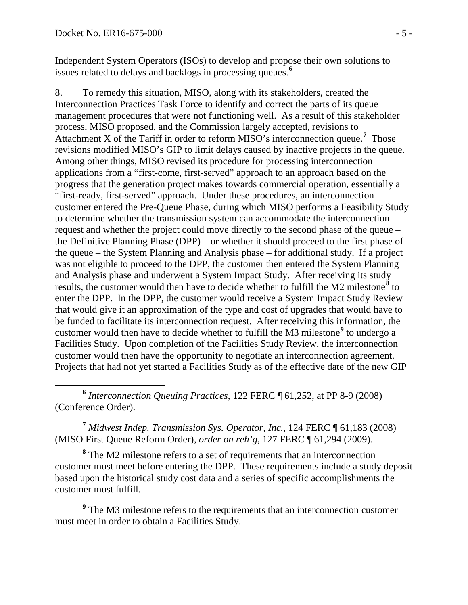Independent System Operators (ISOs) to develop and propose their own solutions to issues related to delays and backlogs in processing queues. **[6](#page-4-0)**

8. To remedy this situation, MISO, along with its stakeholders, created the Interconnection Practices Task Force to identify and correct the parts of its queue management procedures that were not functioning well. As a result of this stakeholder process, MISO proposed, and the Commission largely accepted, revisions to Attachment X of the Tariff in order to reform MISO's interconnection queue.**[7](#page-4-1)** Those revisions modified MISO's GIP to limit delays caused by inactive projects in the queue. Among other things, MISO revised its procedure for processing interconnection applications from a "first-come, first-served" approach to an approach based on the progress that the generation project makes towards commercial operation, essentially a "first-ready, first-served" approach. Under these procedures, an interconnection customer entered the Pre-Queue Phase, during which MISO performs a Feasibility Study to determine whether the transmission system can accommodate the interconnection request and whether the project could move directly to the second phase of the queue – the Definitive Planning Phase (DPP) – or whether it should proceed to the first phase of the queue – the System Planning and Analysis phase – for additional study. If a project was not eligible to proceed to the DPP, the customer then entered the System Planning and Analysis phase and underwent a System Impact Study. After receiving its study results, the customer would then have to decide whether to fulfill the M2 milestone**[8](#page-4-2)** to enter the DPP. In the DPP, the customer would receive a System Impact Study Review that would give it an approximation of the type and cost of upgrades that would have to be funded to facilitate its interconnection request. After receiving this information, the customer would then have to decide whether to fulfill the M3 milestone**[9](#page-4-3)** to undergo a Facilities Study. Upon completion of the Facilities Study Review, the interconnection customer would then have the opportunity to negotiate an interconnection agreement. Projects that had not yet started a Facilities Study as of the effective date of the new GIP

<span id="page-4-0"></span> **<sup>6</sup>** *Interconnection Queuing Practices,* 122 FERC ¶ 61,252, at PP 8-9 (2008) (Conference Order).

<span id="page-4-1"></span>**<sup>7</sup>** *Midwest Indep. Transmission Sys. Operator, Inc.*, 124 FERC ¶ 61,183 (2008) (MISO First Queue Reform Order), *order on reh'g*, 127 FERC ¶ 61,294 (2009).

<span id="page-4-2"></span>**<sup>8</sup>** The M2 milestone refers to a set of requirements that an interconnection customer must meet before entering the DPP. These requirements include a study deposit based upon the historical study cost data and a series of specific accomplishments the customer must fulfill.

<span id="page-4-3"></span>**<sup>9</sup>** The M3 milestone refers to the requirements that an interconnection customer must meet in order to obtain a Facilities Study.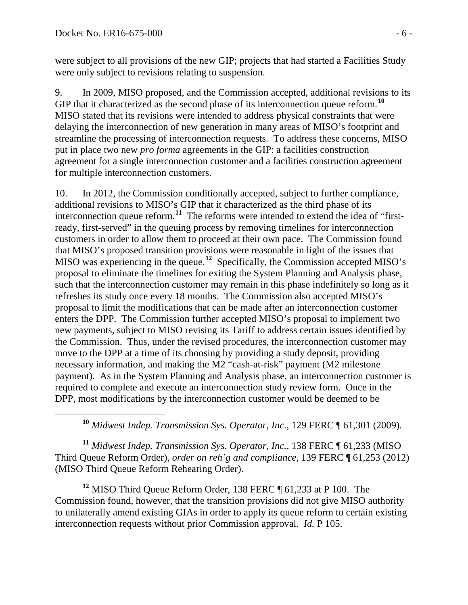were subject to all provisions of the new GIP; projects that had started a Facilities Study were only subject to revisions relating to suspension.

9. In 2009, MISO proposed, and the Commission accepted, additional revisions to its GIP that it characterized as the second phase of its interconnection queue reform.**[10](#page-5-0)** MISO stated that its revisions were intended to address physical constraints that were delaying the interconnection of new generation in many areas of MISO's footprint and streamline the processing of interconnection requests. To address these concerns, MISO put in place two new *pro forma* agreements in the GIP: a facilities construction agreement for a single interconnection customer and a facilities construction agreement for multiple interconnection customers.

10. In 2012, the Commission conditionally accepted, subject to further compliance, additional revisions to MISO's GIP that it characterized as the third phase of its interconnection queue reform. **[11](#page-5-1)** The reforms were intended to extend the idea of "firstready, first-served" in the queuing process by removing timelines for interconnection customers in order to allow them to proceed at their own pace. The Commission found that MISO's proposed transition provisions were reasonable in light of the issues that MISO was experiencing in the queue.<sup>[12](#page-5-2)</sup> Specifically, the Commission accepted MISO's proposal to eliminate the timelines for exiting the System Planning and Analysis phase, such that the interconnection customer may remain in this phase indefinitely so long as it refreshes its study once every 18 months. The Commission also accepted MISO's proposal to limit the modifications that can be made after an interconnection customer enters the DPP. The Commission further accepted MISO's proposal to implement two new payments, subject to MISO revising its Tariff to address certain issues identified by the Commission. Thus, under the revised procedures, the interconnection customer may move to the DPP at a time of its choosing by providing a study deposit, providing necessary information, and making the M2 "cash-at-risk" payment (M2 milestone payment). As in the System Planning and Analysis phase, an interconnection customer is required to complete and execute an interconnection study review form. Once in the DPP, most modifications by the interconnection customer would be deemed to be

**<sup>10</sup>** *Midwest Indep. Transmission Sys. Operator, Inc.*, 129 FERC ¶ 61,301 (2009).

<span id="page-5-1"></span><span id="page-5-0"></span>**<sup>11</sup>** *Midwest Indep. Transmission Sys. Operator, Inc.*, 138 FERC ¶ 61,233 (MISO Third Queue Reform Order), *order on reh'g and compliance*, 139 FERC ¶ 61,253 (2012) (MISO Third Queue Reform Rehearing Order).

<span id="page-5-2"></span>**<sup>12</sup>** MISO Third Queue Reform Order, 138 FERC ¶ 61,233 at P 100. The Commission found, however, that the transition provisions did not give MISO authority to unilaterally amend existing GIAs in order to apply its queue reform to certain existing interconnection requests without prior Commission approval. *Id.* P 105.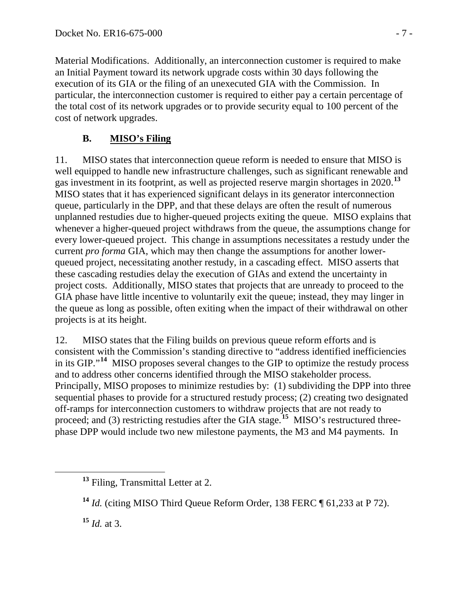Material Modifications. Additionally, an interconnection customer is required to make an Initial Payment toward its network upgrade costs within 30 days following the execution of its GIA or the filing of an unexecuted GIA with the Commission. In particular, the interconnection customer is required to either pay a certain percentage of the total cost of its network upgrades or to provide security equal to 100 percent of the cost of network upgrades.

# <span id="page-6-0"></span>**B. MISO's Filing**

11. MISO states that interconnection queue reform is needed to ensure that MISO is well equipped to handle new infrastructure challenges, such as significant renewable and gas investment in its footprint, as well as projected reserve margin shortages in 2020.**[13](#page-6-1)** MISO states that it has experienced significant delays in its generator interconnection queue, particularly in the DPP, and that these delays are often the result of numerous unplanned restudies due to higher-queued projects exiting the queue. MISO explains that whenever a higher-queued project withdraws from the queue, the assumptions change for every lower-queued project. This change in assumptions necessitates a restudy under the current *pro forma* GIA, which may then change the assumptions for another lowerqueued project, necessitating another restudy, in a cascading effect. MISO asserts that these cascading restudies delay the execution of GIAs and extend the uncertainty in project costs. Additionally, MISO states that projects that are unready to proceed to the GIA phase have little incentive to voluntarily exit the queue; instead, they may linger in the queue as long as possible, often exiting when the impact of their withdrawal on other projects is at its height.

12. MISO states that the Filing builds on previous queue reform efforts and is consistent with the Commission's standing directive to "address identified inefficiencies in its GIP."**[14](#page-6-2)** MISO proposes several changes to the GIP to optimize the restudy process and to address other concerns identified through the MISO stakeholder process. Principally, MISO proposes to minimize restudies by: (1) subdividing the DPP into three sequential phases to provide for a structured restudy process; (2) creating two designated off-ramps for interconnection customers to withdraw projects that are not ready to proceed; and (3) restricting restudies after the GIA stage.**[15](#page-6-3)** MISO's restructured threephase DPP would include two new milestone payments, the M3 and M4 payments. In

<span id="page-6-3"></span>**<sup>15</sup>** *Id.* at 3.

<span id="page-6-1"></span>**<sup>13</sup>** Filing, Transmittal Letter at 2.

<span id="page-6-2"></span>**<sup>14</sup>** *Id.* (citing MISO Third Queue Reform Order, 138 FERC ¶ 61,233 at P 72).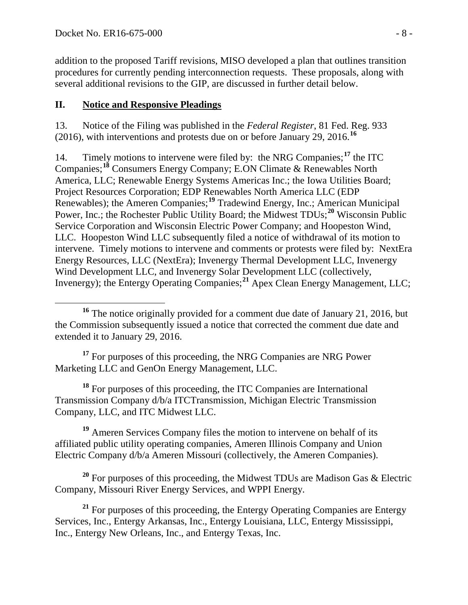addition to the proposed Tariff revisions, MISO developed a plan that outlines transition procedures for currently pending interconnection requests. These proposals, along with several additional revisions to the GIP, are discussed in further detail below.

# <span id="page-7-0"></span>**II. Notice and Responsive Pleadings**

13. Notice of the Filing was published in the *Federal Register*, 81 Fed. Reg. 933 (2016), with interventions and protests due on or before January 29, 2016.**[16](#page-7-1)**

14. Timely motions to intervene were filed by: the NRG Companies;**[17](#page-7-2)** the ITC Companies;**[18](#page-7-3)** Consumers Energy Company; E.ON Climate & Renewables North America, LLC; Renewable Energy Systems Americas Inc.; the Iowa Utilities Board; Project Resources Corporation; EDP Renewables North America LLC (EDP Renewables); the Ameren Companies;**[19](#page-7-4)** Tradewind Energy, Inc.; American Municipal Power, Inc.; the Rochester Public Utility Board; the Midwest TDUs;**[20](#page-7-5)** Wisconsin Public Service Corporation and Wisconsin Electric Power Company; and Hoopeston Wind, LLC. Hoopeston Wind LLC subsequently filed a notice of withdrawal of its motion to intervene. Timely motions to intervene and comments or protests were filed by: NextEra Energy Resources, LLC (NextEra); Invenergy Thermal Development LLC, Invenergy Wind Development LLC, and Invenergy Solar Development LLC (collectively, Invenergy); the Entergy Operating Companies;**[21](#page-7-6)** Apex Clean Energy Management, LLC;

<span id="page-7-2"></span><sup>17</sup> For purposes of this proceeding, the NRG Companies are NRG Power Marketing LLC and GenOn Energy Management, LLC.

<span id="page-7-3"></span>**<sup>18</sup>** For purposes of this proceeding, the ITC Companies are International Transmission Company d/b/a ITCTransmission, Michigan Electric Transmission Company, LLC, and ITC Midwest LLC.

<span id="page-7-4"></span>**<sup>19</sup>** Ameren Services Company files the motion to intervene on behalf of its affiliated public utility operating companies, Ameren Illinois Company and Union Electric Company d/b/a Ameren Missouri (collectively, the Ameren Companies).

<span id="page-7-5"></span>**<sup>20</sup>** For purposes of this proceeding, the Midwest TDUs are Madison Gas & Electric Company, Missouri River Energy Services, and WPPI Energy.

<span id="page-7-6"></span><sup>21</sup> For purposes of this proceeding, the Entergy Operating Companies are Entergy Services, Inc., Entergy Arkansas, Inc., Entergy Louisiana, LLC, Entergy Mississippi, Inc., Entergy New Orleans, Inc., and Entergy Texas, Inc.

<span id="page-7-1"></span>**<sup>16</sup>** The notice originally provided for a comment due date of January 21, 2016, but the Commission subsequently issued a notice that corrected the comment due date and extended it to January 29, 2016.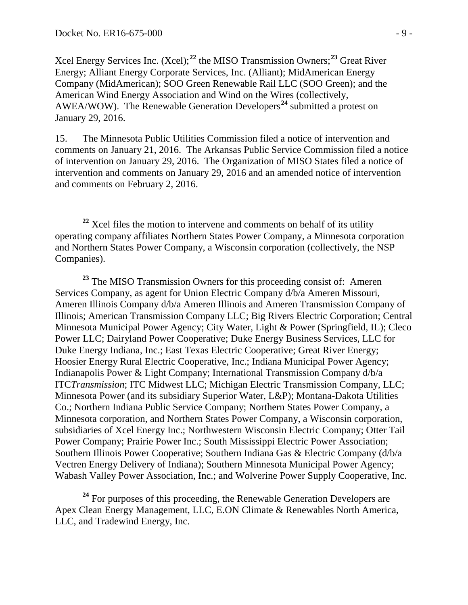Xcel Energy Services Inc. (Xcel);**[22](#page-8-0)** the MISO Transmission Owners;**[23](#page-8-1)** Great River Energy; Alliant Energy Corporate Services, Inc. (Alliant); MidAmerican Energy Company (MidAmerican); SOO Green Renewable Rail LLC (SOO Green); and the American Wind Energy Association and Wind on the Wires (collectively, AWEA/WOW). The Renewable Generation Developers<sup>[24](#page-8-2)</sup> submitted a protest on January 29, 2016.

15. The Minnesota Public Utilities Commission filed a notice of intervention and comments on January 21, 2016. The Arkansas Public Service Commission filed a notice of intervention on January 29, 2016. The Organization of MISO States filed a notice of intervention and comments on January 29, 2016 and an amended notice of intervention and comments on February 2, 2016.

<span id="page-8-1"></span>**<sup>23</sup>** The MISO Transmission Owners for this proceeding consist of: Ameren Services Company, as agent for Union Electric Company d/b/a Ameren Missouri, Ameren Illinois Company d/b/a Ameren Illinois and Ameren Transmission Company of Illinois; American Transmission Company LLC; Big Rivers Electric Corporation; Central Minnesota Municipal Power Agency; City Water, Light & Power (Springfield, IL); Cleco Power LLC; Dairyland Power Cooperative; Duke Energy Business Services, LLC for Duke Energy Indiana, Inc.; East Texas Electric Cooperative; Great River Energy; Hoosier Energy Rural Electric Cooperative, Inc.; Indiana Municipal Power Agency; Indianapolis Power & Light Company; International Transmission Company d/b/a ITC*Transmission*; ITC Midwest LLC; Michigan Electric Transmission Company, LLC; Minnesota Power (and its subsidiary Superior Water, L&P); Montana-Dakota Utilities Co.; Northern Indiana Public Service Company; Northern States Power Company, a Minnesota corporation, and Northern States Power Company, a Wisconsin corporation, subsidiaries of Xcel Energy Inc.; Northwestern Wisconsin Electric Company; Otter Tail Power Company; Prairie Power Inc.; South Mississippi Electric Power Association; Southern Illinois Power Cooperative; Southern Indiana Gas & Electric Company (d/b/a Vectren Energy Delivery of Indiana); Southern Minnesota Municipal Power Agency; Wabash Valley Power Association, Inc.; and Wolverine Power Supply Cooperative, Inc.

<span id="page-8-2"></span><sup>24</sup> For purposes of this proceeding, the Renewable Generation Developers are Apex Clean Energy Management, LLC, E.ON Climate & Renewables North America, LLC, and Tradewind Energy, Inc.

<span id="page-8-0"></span><sup>&</sup>lt;sup>22</sup> Xcel files the motion to intervene and comments on behalf of its utility operating company affiliates Northern States Power Company, a Minnesota corporation and Northern States Power Company, a Wisconsin corporation (collectively, the NSP Companies).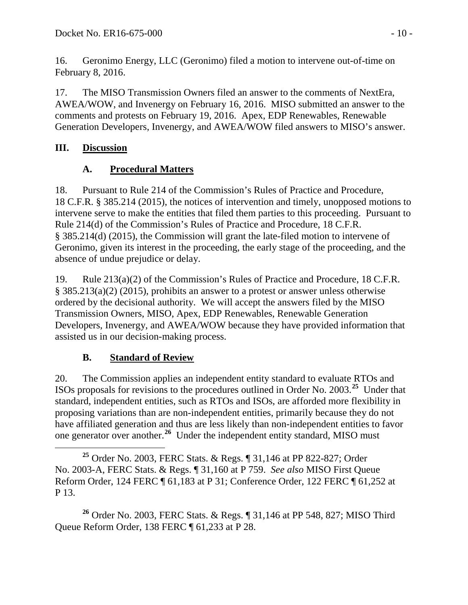16. Geronimo Energy, LLC (Geronimo) filed a motion to intervene out-of-time on February 8, 2016.

17. The MISO Transmission Owners filed an answer to the comments of NextEra, AWEA/WOW, and Invenergy on February 16, 2016. MISO submitted an answer to the comments and protests on February 19, 2016. Apex, EDP Renewables, Renewable Generation Developers, Invenergy, and AWEA/WOW filed answers to MISO's answer.

# **III. Discussion**

# <span id="page-9-1"></span><span id="page-9-0"></span>**A. Procedural Matters**

18. Pursuant to Rule 214 of the Commission's Rules of Practice and Procedure, 18 C.F.R. § 385.214 (2015), the notices of intervention and timely, unopposed motions to intervene serve to make the entities that filed them parties to this proceeding. Pursuant to Rule 214(d) of the Commission's Rules of Practice and Procedure, 18 C.F.R. § 385.214(d) (2015), the Commission will grant the late-filed motion to intervene of Geronimo, given its interest in the proceeding, the early stage of the proceeding, and the absence of undue prejudice or delay.

19. Rule 213(a)(2) of the Commission's Rules of Practice and Procedure, 18 C.F.R. § 385.213(a)(2) (2015), prohibits an answer to a protest or answer unless otherwise ordered by the decisional authority. We will accept the answers filed by the MISO Transmission Owners, MISO, Apex, EDP Renewables, Renewable Generation Developers, Invenergy, and AWEA/WOW because they have provided information that assisted us in our decision-making process.

# <span id="page-9-2"></span>**B. Standard of Review**

20. The Commission applies an independent entity standard to evaluate RTOs and ISOs proposals for revisions to the procedures outlined in Order No. 2003.**[25](#page-9-3)** Under that standard, independent entities, such as RTOs and ISOs, are afforded more flexibility in proposing variations than are non-independent entities, primarily because they do not have affiliated generation and thus are less likely than non-independent entities to favor one generator over another.**[26](#page-9-4)** Under the independent entity standard, MISO must

<span id="page-9-4"></span>**<sup>26</sup>** Order No. 2003, FERC Stats. & Regs. ¶ 31,146 at PP 548, 827; MISO Third Queue Reform Order, 138 FERC ¶ 61,233 at P 28.

<span id="page-9-3"></span>**<sup>25</sup>** Order No. 2003, FERC Stats. & Regs. ¶ 31,146 at PP 822-827; Order No. 2003-A, FERC Stats. & Regs. ¶ 31,160 at P 759. *See also* MISO First Queue Reform Order, 124 FERC ¶ 61,183 at P 31; Conference Order, 122 FERC ¶ 61,252 at P 13.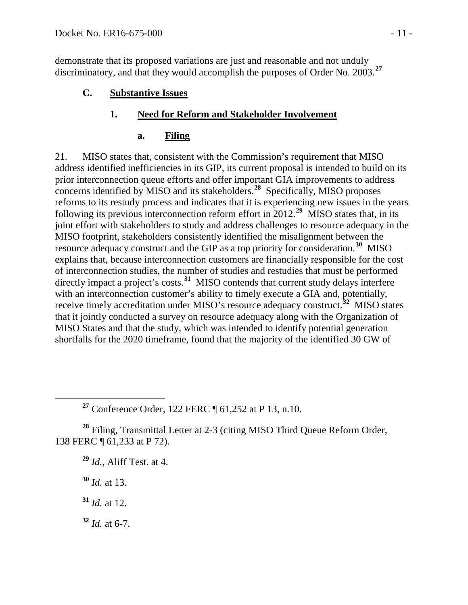demonstrate that its proposed variations are just and reasonable and not unduly discriminatory, and that they would accomplish the purposes of Order No. 2003.**[27](#page-10-3)**

**C. Substantive Issues**

## **1. Need for Reform and Stakeholder Involvement**

### <span id="page-10-2"></span><span id="page-10-1"></span><span id="page-10-0"></span>**a. Filing**

21. MISO states that, consistent with the Commission's requirement that MISO address identified inefficiencies in its GIP, its current proposal is intended to build on its prior interconnection queue efforts and offer important GIA improvements to address concerns identified by MISO and its stakeholders.**[28](#page-10-4)** Specifically, MISO proposes reforms to its restudy process and indicates that it is experiencing new issues in the years following its previous interconnection reform effort in 2012.<sup>[29](#page-10-5)</sup> MISO states that, in its joint effort with stakeholders to study and address challenges to resource adequacy in the MISO footprint, stakeholders consistently identified the misalignment between the resource adequacy construct and the GIP as a top priority for consideration. **[30](#page-10-6)** MISO explains that, because interconnection customers are financially responsible for the cost of interconnection studies, the number of studies and restudies that must be performed directly impact a project's costs.**[31](#page-10-7)** MISO contends that current study delays interfere with an interconnection customer's ability to timely execute a GIA and, potentially, receive timely accreditation under MISO's resource adequacy construct.**[32](#page-10-8)** MISO states that it jointly conducted a survey on resource adequacy along with the Organization of MISO States and that the study, which was intended to identify potential generation shortfalls for the 2020 timeframe, found that the majority of the identified 30 GW of

**<sup>27</sup>** Conference Order, 122 FERC ¶ 61,252 at P 13, n.10.

<span id="page-10-6"></span><span id="page-10-5"></span><span id="page-10-4"></span><span id="page-10-3"></span>**<sup>28</sup>** Filing, Transmittal Letter at 2-3 (citing MISO Third Queue Reform Order, 138 FERC ¶ 61,233 at P 72).

**<sup>29</sup>** *Id.*, Aliff Test. at 4.

**<sup>30</sup>** *Id.* at 13.

<span id="page-10-7"></span>**<sup>31</sup>** *Id.* at 12.

<span id="page-10-8"></span>**<sup>32</sup>** *Id.* at 6-7.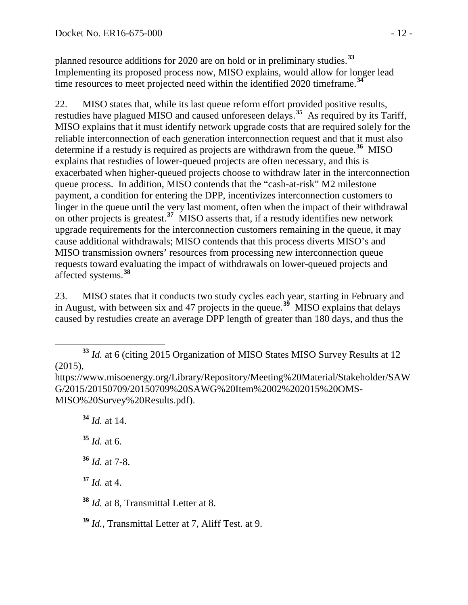planned resource additions for 2020 are on hold or in preliminary studies.**[33](#page-11-0)** Implementing its proposed process now, MISO explains, would allow for longer lead time resources to meet projected need within the identified 2020 timeframe.**[34](#page-11-1)**

22. MISO states that, while its last queue reform effort provided positive results, restudies have plagued MISO and caused unforeseen delays.**[35](#page-11-2)** As required by its Tariff, MISO explains that it must identify network upgrade costs that are required solely for the reliable interconnection of each generation interconnection request and that it must also determine if a restudy is required as projects are withdrawn from the queue. **[36](#page-11-3)** MISO explains that restudies of lower-queued projects are often necessary, and this is exacerbated when higher-queued projects choose to withdraw later in the interconnection queue process. In addition, MISO contends that the "cash-at-risk" M2 milestone payment, a condition for entering the DPP, incentivizes interconnection customers to linger in the queue until the very last moment, often when the impact of their withdrawal on other projects is greatest.**[37](#page-11-4)** MISO asserts that, if a restudy identifies new network upgrade requirements for the interconnection customers remaining in the queue, it may cause additional withdrawals; MISO contends that this process diverts MISO's and MISO transmission owners' resources from processing new interconnection queue requests toward evaluating the impact of withdrawals on lower-queued projects and affected systems. **[38](#page-11-5)**

23. MISO states that it conducts two study cycles each year, starting in February and in August, with between six and 47 projects in the queue. **[39](#page-11-6)** MISO explains that delays caused by restudies create an average DPP length of greater than 180 days, and thus the

**<sup>34</sup>** *Id.* at 14.

<span id="page-11-2"></span>**<sup>35</sup>** *Id.* at 6.

<span id="page-11-3"></span>**<sup>36</sup>** *Id.* at 7-8.

<span id="page-11-4"></span>**<sup>37</sup>** *Id.* at 4.

<span id="page-11-5"></span>**<sup>38</sup>** *Id.* at 8, Transmittal Letter at 8.

<span id="page-11-6"></span>**<sup>39</sup>** *Id.*, Transmittal Letter at 7, Aliff Test. at 9.

<span id="page-11-0"></span>**<sup>33</sup>** *Id.* at 6 (citing 2015 Organization of MISO States MISO Survey Results at 12 (2015),

<span id="page-11-1"></span>https://www.misoenergy.org/Library/Repository/Meeting%20Material/Stakeholder/SAW G/2015/20150709/20150709%20SAWG%20Item%2002%202015%20OMS-MISO%20Survey%20Results.pdf).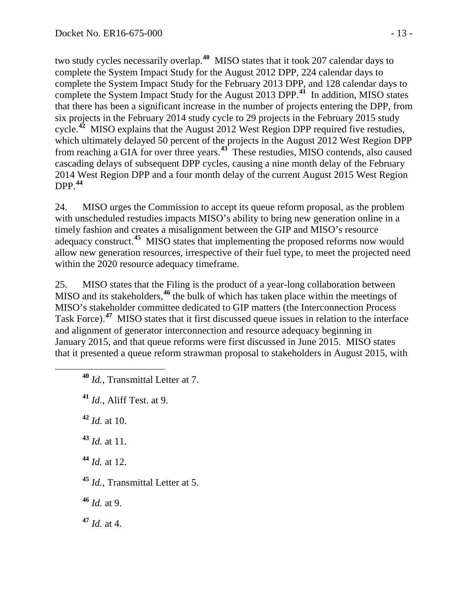two study cycles necessarily overlap. **[40](#page-12-0)** MISO states that it took 207 calendar days to complete the System Impact Study for the August 2012 DPP, 224 calendar days to complete the System Impact Study for the February 2013 DPP, and 128 calendar days to complete the System Impact Study for the August 2013 DPP. **[41](#page-12-1)** In addition, MISO states that there has been a significant increase in the number of projects entering the DPP, from six projects in the February 2014 study cycle to 29 projects in the February 2015 study cycle.**[42](#page-12-2)** MISO explains that the August 2012 West Region DPP required five restudies, which ultimately delayed 50 percent of the projects in the August 2012 West Region DPP from reaching a GIA for over three years.**[43](#page-12-3)** These restudies, MISO contends, also caused cascading delays of subsequent DPP cycles, causing a nine month delay of the February 2014 West Region DPP and a four month delay of the current August 2015 West Region DPP. **[44](#page-12-4)**

24. MISO urges the Commission to accept its queue reform proposal, as the problem with unscheduled restudies impacts MISO's ability to bring new generation online in a timely fashion and creates a misalignment between the GIP and MISO's resource adequacy construct.**[45](#page-12-5)** MISO states that implementing the proposed reforms now would allow new generation resources, irrespective of their fuel type, to meet the projected need within the 2020 resource adequacy timeframe.

25. MISO states that the Filing is the product of a year-long collaboration between MISO and its stakeholders,<sup>[46](#page-12-6)</sup> the bulk of which has taken place within the meetings of MISO's stakeholder committee dedicated to GIP matters (the Interconnection Process Task Force). **[47](#page-12-7)** MISO states that it first discussed queue issues in relation to the interface and alignment of generator interconnection and resource adequacy beginning in January 2015, and that queue reforms were first discussed in June 2015. MISO states that it presented a queue reform strawman proposal to stakeholders in August 2015, with

- <span id="page-12-0"></span>**<sup>40</sup>** *Id.*, Transmittal Letter at 7.
- <span id="page-12-1"></span>**<sup>41</sup>** *Id.*, Aliff Test. at 9.

<span id="page-12-2"></span>**<sup>42</sup>** *Id.* at 10.

<span id="page-12-3"></span>**<sup>43</sup>** *Id.* at 11.

<span id="page-12-4"></span>**<sup>44</sup>** *Id.* at 12.

<span id="page-12-5"></span>**<sup>45</sup>** *Id.*, Transmittal Letter at 5.

<span id="page-12-6"></span>**<sup>46</sup>** *Id.* at 9.

<span id="page-12-7"></span>**<sup>47</sup>** *Id.* at 4.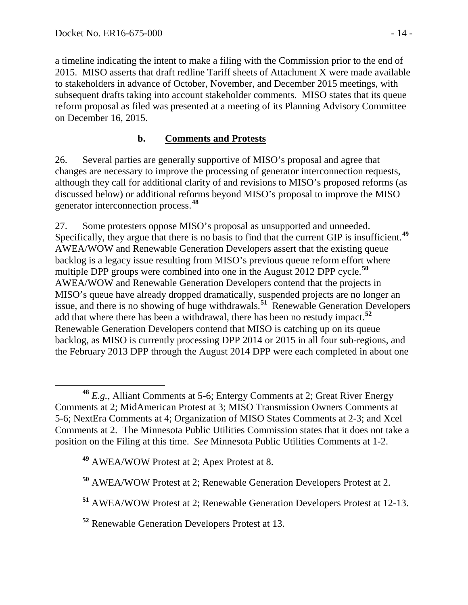a timeline indicating the intent to make a filing with the Commission prior to the end of 2015. MISO asserts that draft redline Tariff sheets of Attachment X were made available to stakeholders in advance of October, November, and December 2015 meetings, with subsequent drafts taking into account stakeholder comments. MISO states that its queue reform proposal as filed was presented at a meeting of its Planning Advisory Committee on December 16, 2015.

## <span id="page-13-0"></span>**b. Comments and Protests**

26. Several parties are generally supportive of MISO's proposal and agree that changes are necessary to improve the processing of generator interconnection requests, although they call for additional clarity of and revisions to MISO's proposed reforms (as discussed below) or additional reforms beyond MISO's proposal to improve the MISO generator interconnection process. **[48](#page-13-1)**

27. Some protesters oppose MISO's proposal as unsupported and unneeded. Specifically, they argue that there is no basis to find that the current GIP is insufficient.<sup>[49](#page-13-2)</sup> AWEA/WOW and Renewable Generation Developers assert that the existing queue backlog is a legacy issue resulting from MISO's previous queue reform effort where multiple DPP groups were combined into one in the August 2012 DPP cycle.<sup>[50](#page-13-3)</sup> AWEA/WOW and Renewable Generation Developers contend that the projects in MISO's queue have already dropped dramatically, suspended projects are no longer an issue, and there is no showing of huge withdrawals.**[51](#page-13-4)** Renewable Generation Developers add that where there has been a withdrawal, there has been no restudy impact.**[52](#page-13-5)** Renewable Generation Developers contend that MISO is catching up on its queue backlog, as MISO is currently processing DPP 2014 or 2015 in all four sub-regions, and the February 2013 DPP through the August 2014 DPP were each completed in about one

<span id="page-13-1"></span>**<sup>48</sup>** *E.g.*, Alliant Comments at 5-6; Entergy Comments at 2; Great River Energy Comments at 2; MidAmerican Protest at 3; MISO Transmission Owners Comments at 5-6; NextEra Comments at 4; Organization of MISO States Comments at 2-3; and Xcel Comments at 2. The Minnesota Public Utilities Commission states that it does not take a position on the Filing at this time. *See* Minnesota Public Utilities Comments at 1-2.

<span id="page-13-2"></span>**<sup>49</sup>** AWEA/WOW Protest at 2; Apex Protest at 8.

<span id="page-13-3"></span>**<sup>50</sup>** AWEA/WOW Protest at 2; Renewable Generation Developers Protest at 2.

<span id="page-13-4"></span>**<sup>51</sup>** AWEA/WOW Protest at 2; Renewable Generation Developers Protest at 12-13.

<span id="page-13-5"></span>**<sup>52</sup>** Renewable Generation Developers Protest at 13.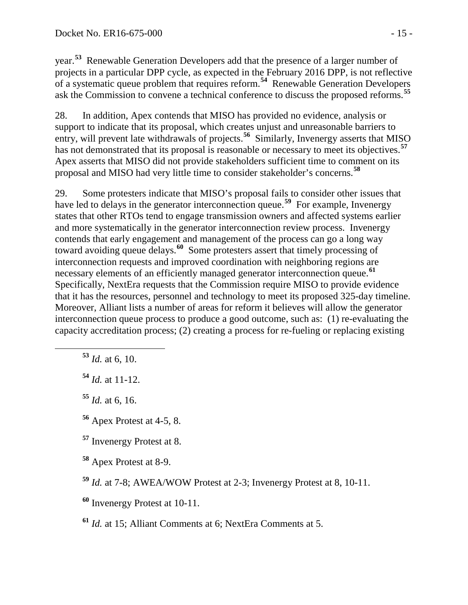year.**[53](#page-14-0)** Renewable Generation Developers add that the presence of a larger number of projects in a particular DPP cycle, as expected in the February 2016 DPP, is not reflective of a systematic queue problem that requires reform. **[54](#page-14-1)** Renewable Generation Developers ask the Commission to convene a technical conference to discuss the proposed reforms. **[55](#page-14-2)**

28. In addition, Apex contends that MISO has provided no evidence, analysis or support to indicate that its proposal, which creates unjust and unreasonable barriers to entry, will prevent late withdrawals of projects.<sup>[56](#page-14-3)</sup> Similarly, Invenergy asserts that MISO has not demonstrated that its proposal is reasonable or necessary to meet its objectives.**[57](#page-14-4)** Apex asserts that MISO did not provide stakeholders sufficient time to comment on its proposal and MISO had very little time to consider stakeholder's concerns.**[58](#page-14-5)**

29. Some protesters indicate that MISO's proposal fails to consider other issues that have led to delays in the generator interconnection queue.<sup>[59](#page-14-6)</sup> For example, Invenergy states that other RTOs tend to engage transmission owners and affected systems earlier and more systematically in the generator interconnection review process. Invenergy contends that early engagement and management of the process can go a long way toward avoiding queue delays. **[60](#page-14-7)** Some protesters assert that timely processing of interconnection requests and improved coordination with neighboring regions are necessary elements of an efficiently managed generator interconnection queue.**[61](#page-14-8)** Specifically, NextEra requests that the Commission require MISO to provide evidence that it has the resources, personnel and technology to meet its proposed 325-day timeline. Moreover, Alliant lists a number of areas for reform it believes will allow the generator interconnection queue process to produce a good outcome, such as: (1) re-evaluating the capacity accreditation process; (2) creating a process for re-fueling or replacing existing

<span id="page-14-0"></span>**<sup>53</sup>** *Id.* at 6, 10.

<span id="page-14-1"></span>**<sup>54</sup>** *Id.* at 11-12.

<span id="page-14-2"></span>**<sup>55</sup>** *Id.* at 6, 16.

<span id="page-14-3"></span>**<sup>56</sup>** Apex Protest at 4-5, 8.

<span id="page-14-4"></span>**<sup>57</sup>** Invenergy Protest at 8.

<span id="page-14-5"></span>**<sup>58</sup>** Apex Protest at 8-9.

<span id="page-14-6"></span>**<sup>59</sup>** *Id.* at 7-8; AWEA/WOW Protest at 2-3; Invenergy Protest at 8, 10-11.

<span id="page-14-7"></span>**<sup>60</sup>** Invenergy Protest at 10-11.

<span id="page-14-8"></span>**<sup>61</sup>** *Id.* at 15; Alliant Comments at 6; NextEra Comments at 5.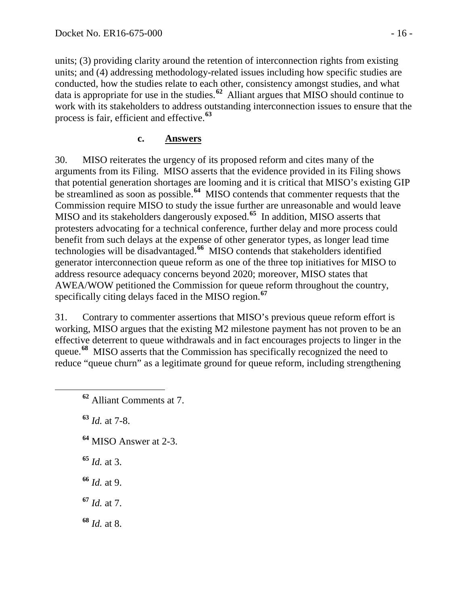units; (3) providing clarity around the retention of interconnection rights from existing units; and (4) addressing methodology-related issues including how specific studies are conducted, how the studies relate to each other, consistency amongst studies, and what data is appropriate for use in the studies.**[62](#page-15-1)** Alliant argues that MISO should continue to work with its stakeholders to address outstanding interconnection issues to ensure that the process is fair, efficient and effective.**[63](#page-15-2)**

#### <span id="page-15-0"></span>**c. Answers**

30. MISO reiterates the urgency of its proposed reform and cites many of the arguments from its Filing. MISO asserts that the evidence provided in its Filing shows that potential generation shortages are looming and it is critical that MISO's existing GIP be streamlined as soon as possible.**[64](#page-15-3)** MISO contends that commenter requests that the Commission require MISO to study the issue further are unreasonable and would leave MISO and its stakeholders dangerously exposed.**[65](#page-15-4)** In addition, MISO asserts that protesters advocating for a technical conference, further delay and more process could benefit from such delays at the expense of other generator types, as longer lead time technologies will be disadvantaged.**[66](#page-15-5)** MISO contends that stakeholders identified generator interconnection queue reform as one of the three top initiatives for MISO to address resource adequacy concerns beyond 2020; moreover, MISO states that AWEA/WOW petitioned the Commission for queue reform throughout the country, specifically citing delays faced in the MISO region.**[67](#page-15-6)**

31. Contrary to commenter assertions that MISO's previous queue reform effort is working, MISO argues that the existing M2 milestone payment has not proven to be an effective deterrent to queue withdrawals and in fact encourages projects to linger in the queue.**[68](#page-15-7)** MISO asserts that the Commission has specifically recognized the need to reduce "queue churn" as a legitimate ground for queue reform, including strengthening

<span id="page-15-2"></span>**<sup>63</sup>** *Id.* at 7-8.

- <span id="page-15-3"></span>**<sup>64</sup>** MISO Answer at 2-3.
- <span id="page-15-4"></span>**<sup>65</sup>** *Id.* at 3.
- <span id="page-15-5"></span>**<sup>66</sup>** *Id.* at 9.
- <span id="page-15-6"></span>**<sup>67</sup>** *Id.* at 7.
- <span id="page-15-7"></span>**<sup>68</sup>** *Id.* at 8.

<span id="page-15-1"></span>**<sup>62</sup>** Alliant Comments at 7.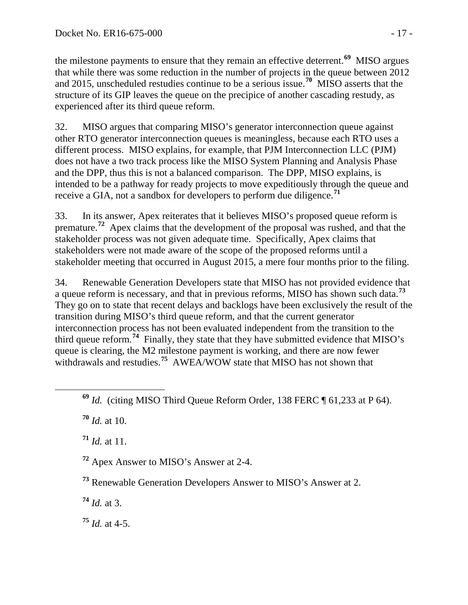the milestone payments to ensure that they remain an effective deterrent.**[69](#page-16-0)** MISO argues that while there was some reduction in the number of projects in the queue between 2012 and 2015, unscheduled restudies continue to be a serious issue.**[70](#page-16-1)** MISO asserts that the structure of its GIP leaves the queue on the precipice of another cascading restudy, as experienced after its third queue reform.

32. MISO argues that comparing MISO's generator interconnection queue against other RTO generator interconnection queues is meaningless, because each RTO uses a different process. MISO explains, for example, that PJM Interconnection LLC (PJM) does not have a two track process like the MISO System Planning and Analysis Phase and the DPP, thus this is not a balanced comparison. The DPP, MISO explains, is intended to be a pathway for ready projects to move expeditiously through the queue and receive a GIA, not a sandbox for developers to perform due diligence.**[71](#page-16-2)**

33. In its answer, Apex reiterates that it believes MISO's proposed queue reform is premature.**[72](#page-16-3)** Apex claims that the development of the proposal was rushed, and that the stakeholder process was not given adequate time. Specifically, Apex claims that stakeholders were not made aware of the scope of the proposed reforms until a stakeholder meeting that occurred in August 2015, a mere four months prior to the filing.

34. Renewable Generation Developers state that MISO has not provided evidence that a queue reform is necessary, and that in previous reforms, MISO has shown such data. **[73](#page-16-4)** They go on to state that recent delays and backlogs have been exclusively the result of the transition during MISO's third queue reform, and that the current generator interconnection process has not been evaluated independent from the transition to the third queue reform.**[74](#page-16-5)** Finally, they state that they have submitted evidence that MISO's queue is clearing, the M2 milestone payment is working, and there are now fewer withdrawals and restudies.**[75](#page-16-6)** AWEA/WOW state that MISO has not shown that

<span id="page-16-1"></span>**<sup>70</sup>** *Id.* at 10.

<span id="page-16-2"></span>**<sup>71</sup>** *Id.* at 11.

<span id="page-16-3"></span>**<sup>72</sup>** Apex Answer to MISO's Answer at 2-4.

<span id="page-16-4"></span>**<sup>73</sup>** Renewable Generation Developers Answer to MISO's Answer at 2.

<span id="page-16-5"></span>**<sup>74</sup>** *Id.* at 3.

<span id="page-16-6"></span>**<sup>75</sup>** *Id.* at 4-5.

<span id="page-16-0"></span>**<sup>69</sup>** *Id.* (citing MISO Third Queue Reform Order, 138 FERC ¶ 61,233 at P 64).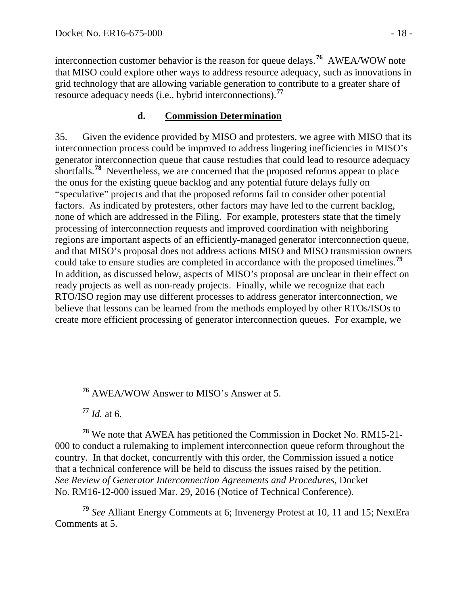interconnection customer behavior is the reason for queue delays.**[76](#page-17-1)** AWEA/WOW note that MISO could explore other ways to address resource adequacy, such as innovations in grid technology that are allowing variable generation to contribute to a greater share of resource adequacy needs (i.e., hybrid interconnections).**[77](#page-17-2)**

## <span id="page-17-0"></span>**d. Commission Determination**

35. Given the evidence provided by MISO and protesters, we agree with MISO that its interconnection process could be improved to address lingering inefficiencies in MISO's generator interconnection queue that cause restudies that could lead to resource adequacy shortfalls.<sup>[78](#page-17-3)</sup> Nevertheless, we are concerned that the proposed reforms appear to place the onus for the existing queue backlog and any potential future delays fully on "speculative" projects and that the proposed reforms fail to consider other potential factors. As indicated by protesters, other factors may have led to the current backlog, none of which are addressed in the Filing. For example, protesters state that the timely processing of interconnection requests and improved coordination with neighboring regions are important aspects of an efficiently-managed generator interconnection queue, and that MISO's proposal does not address actions MISO and MISO transmission owners could take to ensure studies are completed in accordance with the proposed timelines.**[79](#page-17-4)** In addition, as discussed below, aspects of MISO's proposal are unclear in their effect on ready projects as well as non-ready projects. Finally, while we recognize that each RTO/ISO region may use different processes to address generator interconnection, we believe that lessons can be learned from the methods employed by other RTOs/ISOs to create more efficient processing of generator interconnection queues. For example, we

**<sup>77</sup>** *Id.* at 6.

<span id="page-17-3"></span><span id="page-17-2"></span><span id="page-17-1"></span>**<sup>78</sup>** We note that AWEA has petitioned the Commission in Docket No. RM15-21- 000 to conduct a rulemaking to implement interconnection queue reform throughout the country. In that docket, concurrently with this order, the Commission issued a notice that a technical conference will be held to discuss the issues raised by the petition. *See Review of Generator Interconnection Agreements and Procedures*, Docket No. RM16-12-000 issued Mar. 29, 2016 (Notice of Technical Conference).

<span id="page-17-4"></span>**<sup>79</sup>** *See* Alliant Energy Comments at 6; Invenergy Protest at 10, 11 and 15; NextEra Comments at 5.

**<sup>76</sup>** AWEA/WOW Answer to MISO's Answer at 5.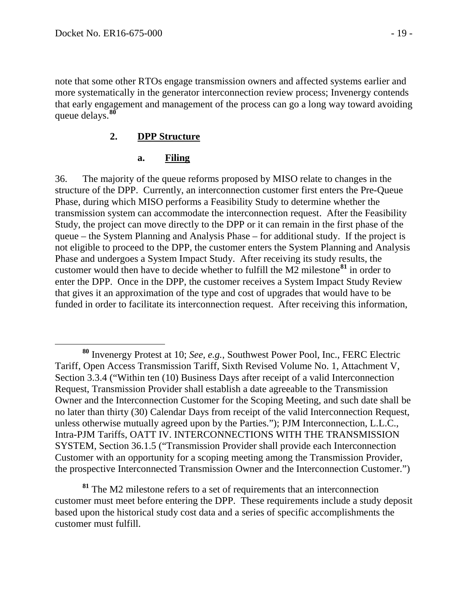note that some other RTOs engage transmission owners and affected systems earlier and more systematically in the generator interconnection review process; Invenergy contends that early engagement and management of the process can go a long way toward avoiding queue delays. **[80](#page-18-2)**

#### **2. DPP Structure**

#### <span id="page-18-1"></span><span id="page-18-0"></span>**a. Filing**

36. The majority of the queue reforms proposed by MISO relate to changes in the structure of the DPP. Currently, an interconnection customer first enters the Pre-Queue Phase, during which MISO performs a Feasibility Study to determine whether the transmission system can accommodate the interconnection request. After the Feasibility Study, the project can move directly to the DPP or it can remain in the first phase of the queue – the System Planning and Analysis Phase – for additional study. If the project is not eligible to proceed to the DPP, the customer enters the System Planning and Analysis Phase and undergoes a System Impact Study. After receiving its study results, the customer would then have to decide whether to fulfill the M2 milestone**[81](#page-18-3)** in order to enter the DPP. Once in the DPP, the customer receives a System Impact Study Review that gives it an approximation of the type and cost of upgrades that would have to be funded in order to facilitate its interconnection request. After receiving this information,

<span id="page-18-3"></span>**<sup>81</sup>** The M2 milestone refers to a set of requirements that an interconnection customer must meet before entering the DPP. These requirements include a study deposit based upon the historical study cost data and a series of specific accomplishments the customer must fulfill.

<span id="page-18-2"></span>**<sup>80</sup>** Invenergy Protest at 10; *See, e.g.*, Southwest Power Pool, Inc., FERC Electric Tariff, Open Access Transmission Tariff, Sixth Revised Volume No. 1, Attachment V, Section 3.3.4 ("Within ten (10) Business Days after receipt of a valid Interconnection Request, Transmission Provider shall establish a date agreeable to the Transmission Owner and the Interconnection Customer for the Scoping Meeting, and such date shall be no later than thirty (30) Calendar Days from receipt of the valid Interconnection Request, unless otherwise mutually agreed upon by the Parties."); PJM Interconnection, L.L.C., Intra-PJM Tariffs, OATT IV. INTERCONNECTIONS WITH THE TRANSMISSION SYSTEM, Section 36.1.5 ("Transmission Provider shall provide each Interconnection Customer with an opportunity for a scoping meeting among the Transmission Provider, the prospective Interconnected Transmission Owner and the Interconnection Customer.")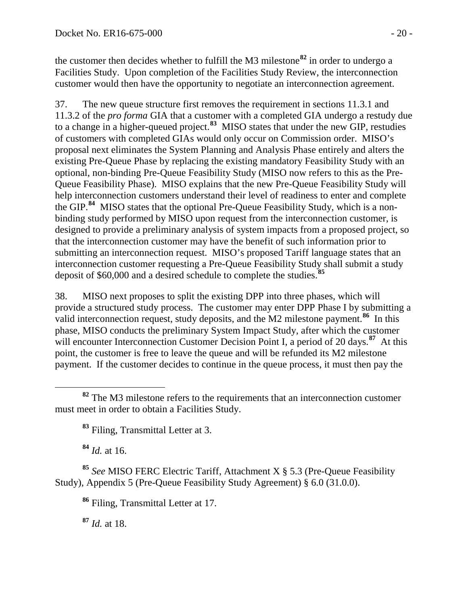the customer then decides whether to fulfill the M3 milestone**[82](#page-19-0)** in order to undergo a Facilities Study. Upon completion of the Facilities Study Review, the interconnection customer would then have the opportunity to negotiate an interconnection agreement.

37. The new queue structure first removes the requirement in sections 11.3.1 and 11.3.2 of the *pro forma* GIA that a customer with a completed GIA undergo a restudy due to a change in a higher-queued project.**[83](#page-19-1)** MISO states that under the new GIP, restudies of customers with completed GIAs would only occur on Commission order. MISO's proposal next eliminates the System Planning and Analysis Phase entirely and alters the existing Pre-Queue Phase by replacing the existing mandatory Feasibility Study with an optional, non-binding Pre-Queue Feasibility Study (MISO now refers to this as the Pre-Queue Feasibility Phase). MISO explains that the new Pre-Queue Feasibility Study will help interconnection customers understand their level of readiness to enter and complete the GIP. **[84](#page-19-2)** MISO states that the optional Pre-Queue Feasibility Study, which is a nonbinding study performed by MISO upon request from the interconnection customer, is designed to provide a preliminary analysis of system impacts from a proposed project, so that the interconnection customer may have the benefit of such information prior to submitting an interconnection request. MISO's proposed Tariff language states that an interconnection customer requesting a Pre-Queue Feasibility Study shall submit a study deposit of \$60,000 and a desired schedule to complete the studies.**[85](#page-19-3)**

38. MISO next proposes to split the existing DPP into three phases, which will provide a structured study process. The customer may enter DPP Phase I by submitting a valid interconnection request, study deposits, and the M2 milestone payment.<sup>[86](#page-19-4)</sup> In this phase, MISO conducts the preliminary System Impact Study, after which the customer will encounter Interconnection Customer Decision Point I, a period of 20 days.<sup>[87](#page-19-5)</sup> At this point, the customer is free to leave the queue and will be refunded its M2 milestone payment. If the customer decides to continue in the queue process, it must then pay the

<span id="page-19-1"></span><span id="page-19-0"></span> **<sup>82</sup>** The M3 milestone refers to the requirements that an interconnection customer must meet in order to obtain a Facilities Study.

**<sup>83</sup>** Filing, Transmittal Letter at 3.

**<sup>84</sup>** *Id.* at 16.

<span id="page-19-5"></span><span id="page-19-4"></span><span id="page-19-3"></span><span id="page-19-2"></span>**<sup>85</sup>** *See* MISO FERC Electric Tariff, Attachment X § 5.3 (Pre-Queue Feasibility Study), Appendix 5 (Pre-Queue Feasibility Study Agreement) § 6.0 (31.0.0).

**<sup>86</sup>** Filing, Transmittal Letter at 17.

**<sup>87</sup>** *Id.* at 18.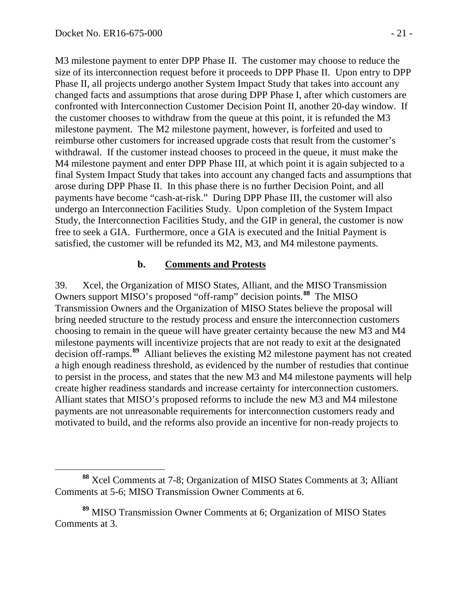M3 milestone payment to enter DPP Phase II. The customer may choose to reduce the size of its interconnection request before it proceeds to DPP Phase II. Upon entry to DPP Phase II, all projects undergo another System Impact Study that takes into account any changed facts and assumptions that arose during DPP Phase I, after which customers are confronted with Interconnection Customer Decision Point II, another 20-day window. If the customer chooses to withdraw from the queue at this point, it is refunded the M3 milestone payment. The M2 milestone payment, however, is forfeited and used to reimburse other customers for increased upgrade costs that result from the customer's withdrawal. If the customer instead chooses to proceed in the queue, it must make the M4 milestone payment and enter DPP Phase III, at which point it is again subjected to a final System Impact Study that takes into account any changed facts and assumptions that arose during DPP Phase II. In this phase there is no further Decision Point, and all payments have become "cash-at-risk." During DPP Phase III, the customer will also undergo an Interconnection Facilities Study. Upon completion of the System Impact Study, the Interconnection Facilities Study, and the GIP in general, the customer is now free to seek a GIA. Furthermore, once a GIA is executed and the Initial Payment is satisfied, the customer will be refunded its M2, M3, and M4 milestone payments.

#### <span id="page-20-0"></span>**b. Comments and Protests**

39. Xcel, the Organization of MISO States, Alliant, and the MISO Transmission Owners support MISO's proposed "off-ramp" decision points.**[88](#page-20-1)** The MISO Transmission Owners and the Organization of MISO States believe the proposal will bring needed structure to the restudy process and ensure the interconnection customers choosing to remain in the queue will have greater certainty because the new M3 and M4 milestone payments will incentivize projects that are not ready to exit at the designated decision off-ramps.**[89](#page-20-2)** Alliant believes the existing M2 milestone payment has not created a high enough readiness threshold, as evidenced by the number of restudies that continue to persist in the process, and states that the new M3 and M4 milestone payments will help create higher readiness standards and increase certainty for interconnection customers. Alliant states that MISO's proposed reforms to include the new M3 and M4 milestone payments are not unreasonable requirements for interconnection customers ready and motivated to build, and the reforms also provide an incentive for non-ready projects to

<span id="page-20-1"></span>**<sup>88</sup>** Xcel Comments at 7-8; Organization of MISO States Comments at 3; Alliant Comments at 5-6; MISO Transmission Owner Comments at 6.

<span id="page-20-2"></span>**<sup>89</sup>** MISO Transmission Owner Comments at 6; Organization of MISO States Comments at 3.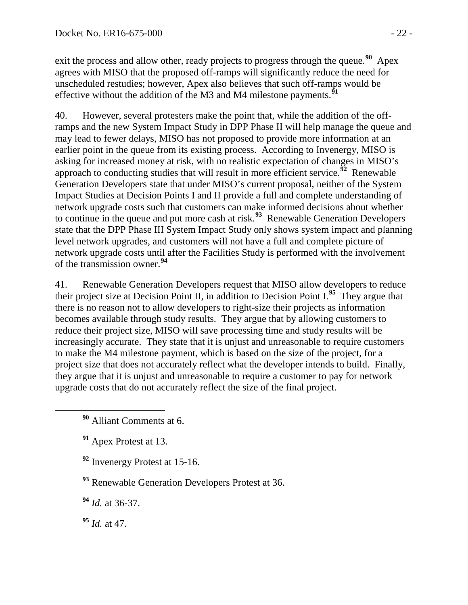exit the process and allow other, ready projects to progress through the queue.<sup>[90](#page-21-0)</sup> Apex agrees with MISO that the proposed off-ramps will significantly reduce the need for unscheduled restudies; however, Apex also believes that such off-ramps would be effective without the addition of the M3 and M4 milestone payments.**[91](#page-21-1)**

40. However, several protesters make the point that, while the addition of the offramps and the new System Impact Study in DPP Phase II will help manage the queue and may lead to fewer delays, MISO has not proposed to provide more information at an earlier point in the queue from its existing process. According to Invenergy, MISO is asking for increased money at risk, with no realistic expectation of changes in MISO's approach to conducting studies that will result in more efficient service.**[92](#page-21-2)** Renewable Generation Developers state that under MISO's current proposal, neither of the System Impact Studies at Decision Points I and II provide a full and complete understanding of network upgrade costs such that customers can make informed decisions about whether to continue in the queue and put more cash at risk.**[93](#page-21-3)** Renewable Generation Developers state that the DPP Phase III System Impact Study only shows system impact and planning level network upgrades, and customers will not have a full and complete picture of network upgrade costs until after the Facilities Study is performed with the involvement of the transmission owner.**[94](#page-21-4)**

41. Renewable Generation Developers request that MISO allow developers to reduce their project size at Decision Point II, in addition to Decision Point I.**[95](#page-21-5)** They argue that there is no reason not to allow developers to right-size their projects as information becomes available through study results. They argue that by allowing customers to reduce their project size, MISO will save processing time and study results will be increasingly accurate. They state that it is unjust and unreasonable to require customers to make the M4 milestone payment, which is based on the size of the project, for a project size that does not accurately reflect what the developer intends to build. Finally, they argue that it is unjust and unreasonable to require a customer to pay for network upgrade costs that do not accurately reflect the size of the final project.

- <span id="page-21-1"></span>**<sup>91</sup>** Apex Protest at 13.
- <span id="page-21-2"></span>**<sup>92</sup>** Invenergy Protest at 15-16.

<span id="page-21-3"></span>**<sup>93</sup>** Renewable Generation Developers Protest at 36.

- <span id="page-21-4"></span>**<sup>94</sup>** *Id.* at 36-37.
- <span id="page-21-5"></span>**<sup>95</sup>** *Id.* at 47.

<span id="page-21-0"></span>**<sup>90</sup>** Alliant Comments at 6.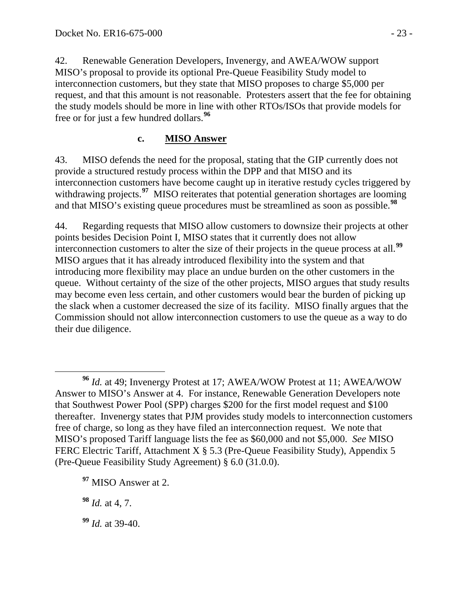42. Renewable Generation Developers, Invenergy, and AWEA/WOW support MISO's proposal to provide its optional Pre-Queue Feasibility Study model to interconnection customers, but they state that MISO proposes to charge \$5,000 per request, and that this amount is not reasonable. Protesters assert that the fee for obtaining the study models should be more in line with other RTOs/ISOs that provide models for free or for just a few hundred dollars.**[96](#page-22-1)**

## <span id="page-22-0"></span>**c. MISO Answer**

43. MISO defends the need for the proposal, stating that the GIP currently does not provide a structured restudy process within the DPP and that MISO and its interconnection customers have become caught up in iterative restudy cycles triggered by withdrawing projects.<sup>[97](#page-22-2)</sup> MISO reiterates that potential generation shortages are looming and that MISO's existing queue procedures must be streamlined as soon as possible.**[98](#page-22-3)**

44. Regarding requests that MISO allow customers to downsize their projects at other points besides Decision Point I, MISO states that it currently does not allow interconnection customers to alter the size of their projects in the queue process at all. **[99](#page-22-4)** MISO argues that it has already introduced flexibility into the system and that introducing more flexibility may place an undue burden on the other customers in the queue. Without certainty of the size of the other projects, MISO argues that study results may become even less certain, and other customers would bear the burden of picking up the slack when a customer decreased the size of its facility. MISO finally argues that the Commission should not allow interconnection customers to use the queue as a way to do their due diligence.

<span id="page-22-1"></span>**<sup>96</sup>** *Id.* at 49; Invenergy Protest at 17; AWEA/WOW Protest at 11; AWEA/WOW Answer to MISO's Answer at 4. For instance, Renewable Generation Developers note that Southwest Power Pool (SPP) charges \$200 for the first model request and \$100 thereafter. Invenergy states that PJM provides study models to interconnection customers free of charge, so long as they have filed an interconnection request. We note that MISO's proposed Tariff language lists the fee as \$60,000 and not \$5,000. *See* MISO FERC Electric Tariff, Attachment X § 5.3 (Pre-Queue Feasibility Study), Appendix 5 (Pre-Queue Feasibility Study Agreement) § 6.0 (31.0.0).

<span id="page-22-2"></span>**<sup>97</sup>** MISO Answer at 2.

<span id="page-22-3"></span>**<sup>98</sup>** *Id.* at 4, 7.

<span id="page-22-4"></span>**<sup>99</sup>** *Id.* at 39-40.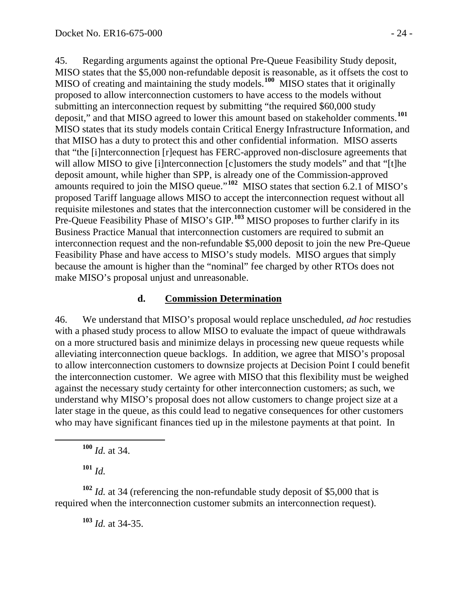45. Regarding arguments against the optional Pre-Queue Feasibility Study deposit, MISO states that the \$5,000 non-refundable deposit is reasonable, as it offsets the cost to MISO of creating and maintaining the study models.**[100](#page-23-1)** MISO states that it originally proposed to allow interconnection customers to have access to the models without submitting an interconnection request by submitting "the required \$60,000 study deposit," and that MISO agreed to lower this amount based on stakeholder comments.**[101](#page-23-2)** MISO states that its study models contain Critical Energy Infrastructure Information, and that MISO has a duty to protect this and other confidential information. MISO asserts that "the [i]nterconnection [r]equest has FERC-approved non-disclosure agreements that will allow MISO to give [i]nterconnection [c]ustomers the study models" and that "[t]he deposit amount, while higher than SPP, is already one of the Commission-approved amounts required to join the MISO queue."**[102](#page-23-3)** MISO states that section 6.2.1 of MISO's proposed Tariff language allows MISO to accept the interconnection request without all requisite milestones and states that the interconnection customer will be considered in the Pre-Queue Feasibility Phase of MISO's GIP.<sup>[103](#page-23-4)</sup> MISO proposes to further clarify in its Business Practice Manual that interconnection customers are required to submit an interconnection request and the non-refundable \$5,000 deposit to join the new Pre-Queue Feasibility Phase and have access to MISO's study models. MISO argues that simply because the amount is higher than the "nominal" fee charged by other RTOs does not make MISO's proposal unjust and unreasonable.

#### <span id="page-23-0"></span>**d. Commission Determination**

46. We understand that MISO's proposal would replace unscheduled, *ad hoc* restudies with a phased study process to allow MISO to evaluate the impact of queue withdrawals on a more structured basis and minimize delays in processing new queue requests while alleviating interconnection queue backlogs. In addition, we agree that MISO's proposal to allow interconnection customers to downsize projects at Decision Point I could benefit the interconnection customer. We agree with MISO that this flexibility must be weighed against the necessary study certainty for other interconnection customers; as such, we understand why MISO's proposal does not allow customers to change project size at a later stage in the queue, as this could lead to negative consequences for other customers who may have significant finances tied up in the milestone payments at that point. In

**<sup>100</sup>** *Id.* at 34.

**<sup>101</sup>** *Id.*

<span id="page-23-4"></span><span id="page-23-3"></span><span id="page-23-2"></span><span id="page-23-1"></span>**<sup>102</sup>** *Id.* at 34 (referencing the non-refundable study deposit of \$5,000 that is required when the interconnection customer submits an interconnection request).

**<sup>103</sup>** *Id.* at 34-35.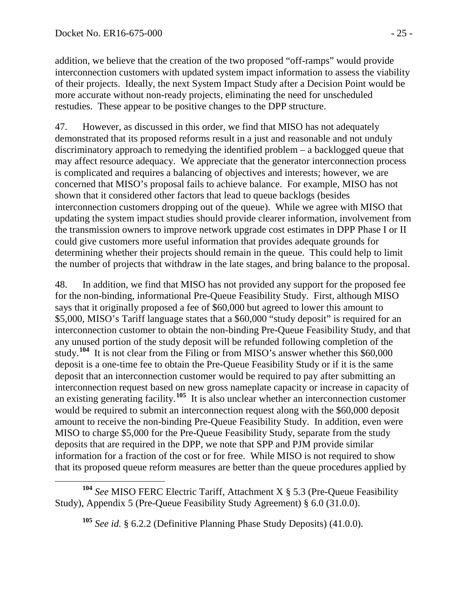addition, we believe that the creation of the two proposed "off-ramps" would provide interconnection customers with updated system impact information to assess the viability of their projects. Ideally, the next System Impact Study after a Decision Point would be more accurate without non-ready projects, eliminating the need for unscheduled restudies. These appear to be positive changes to the DPP structure.

47. However, as discussed in this order, we find that MISO has not adequately demonstrated that its proposed reforms result in a just and reasonable and not unduly discriminatory approach to remedying the identified problem – a backlogged queue that may affect resource adequacy. We appreciate that the generator interconnection process is complicated and requires a balancing of objectives and interests; however, we are concerned that MISO's proposal fails to achieve balance. For example, MISO has not shown that it considered other factors that lead to queue backlogs (besides interconnection customers dropping out of the queue). While we agree with MISO that updating the system impact studies should provide clearer information, involvement from the transmission owners to improve network upgrade cost estimates in DPP Phase I or II could give customers more useful information that provides adequate grounds for determining whether their projects should remain in the queue. This could help to limit the number of projects that withdraw in the late stages, and bring balance to the proposal.

48. In addition, we find that MISO has not provided any support for the proposed fee for the non-binding, informational Pre-Queue Feasibility Study. First, although MISO says that it originally proposed a fee of \$60,000 but agreed to lower this amount to \$5,000, MISO's Tariff language states that a \$60,000 "study deposit" is required for an interconnection customer to obtain the non-binding Pre-Queue Feasibility Study, and that any unused portion of the study deposit will be refunded following completion of the study.<sup>[104](#page-24-0)</sup> It is not clear from the Filing or from MISO's answer whether this \$60,000 deposit is a one-time fee to obtain the Pre-Queue Feasibility Study or if it is the same deposit that an interconnection customer would be required to pay after submitting an interconnection request based on new gross nameplate capacity or increase in capacity of an existing generating facility.**[105](#page-24-1)** It is also unclear whether an interconnection customer would be required to submit an interconnection request along with the \$60,000 deposit amount to receive the non-binding Pre-Queue Feasibility Study. In addition, even were MISO to charge \$5,000 for the Pre-Queue Feasibility Study, separate from the study deposits that are required in the DPP, we note that SPP and PJM provide similar information for a fraction of the cost or for free. While MISO is not required to show that its proposed queue reform measures are better than the queue procedures applied by

<span id="page-24-1"></span><span id="page-24-0"></span>**<sup>104</sup>** *See* MISO FERC Electric Tariff, Attachment X § 5.3 (Pre-Queue Feasibility Study), Appendix 5 (Pre-Queue Feasibility Study Agreement) § 6.0 (31.0.0).

**<sup>105</sup>** *See id.* § 6.2.2 (Definitive Planning Phase Study Deposits) (41.0.0).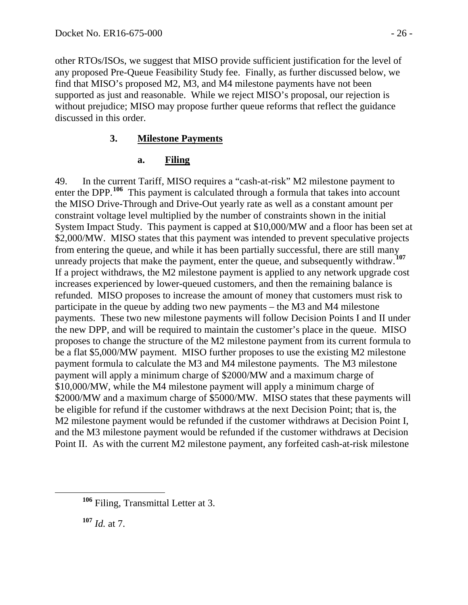other RTOs/ISOs, we suggest that MISO provide sufficient justification for the level of any proposed Pre-Queue Feasibility Study fee. Finally, as further discussed below, we find that MISO's proposed M2, M3, and M4 milestone payments have not been supported as just and reasonable. While we reject MISO's proposal, our rejection is without prejudice; MISO may propose further queue reforms that reflect the guidance discussed in this order.

### **3. Milestone Payments**

### <span id="page-25-1"></span><span id="page-25-0"></span>**a. Filing**

49. In the current Tariff, MISO requires a "cash-at-risk" M2 milestone payment to enter the DPP.<sup>[106](#page-25-2)</sup> This payment is calculated through a formula that takes into account the MISO Drive-Through and Drive-Out yearly rate as well as a constant amount per constraint voltage level multiplied by the number of constraints shown in the initial System Impact Study. This payment is capped at \$10,000/MW and a floor has been set at \$2,000/MW. MISO states that this payment was intended to prevent speculative projects from entering the queue, and while it has been partially successful, there are still many unready projects that make the payment, enter the queue, and subsequently withdraw.**[107](#page-25-3)** If a project withdraws, the M2 milestone payment is applied to any network upgrade cost increases experienced by lower-queued customers, and then the remaining balance is refunded. MISO proposes to increase the amount of money that customers must risk to participate in the queue by adding two new payments – the M3 and M4 milestone payments. These two new milestone payments will follow Decision Points I and II under the new DPP, and will be required to maintain the customer's place in the queue. MISO proposes to change the structure of the M2 milestone payment from its current formula to be a flat \$5,000/MW payment. MISO further proposes to use the existing M2 milestone payment formula to calculate the M3 and M4 milestone payments. The M3 milestone payment will apply a minimum charge of \$2000/MW and a maximum charge of \$10,000/MW, while the M4 milestone payment will apply a minimum charge of \$2000/MW and a maximum charge of \$5000/MW. MISO states that these payments will be eligible for refund if the customer withdraws at the next Decision Point; that is, the M2 milestone payment would be refunded if the customer withdraws at Decision Point I, and the M3 milestone payment would be refunded if the customer withdraws at Decision Point II. As with the current M2 milestone payment, any forfeited cash-at-risk milestone

<span id="page-25-3"></span>**<sup>107</sup>** *Id.* at 7.

<span id="page-25-2"></span>**<sup>106</sup>** Filing, Transmittal Letter at 3.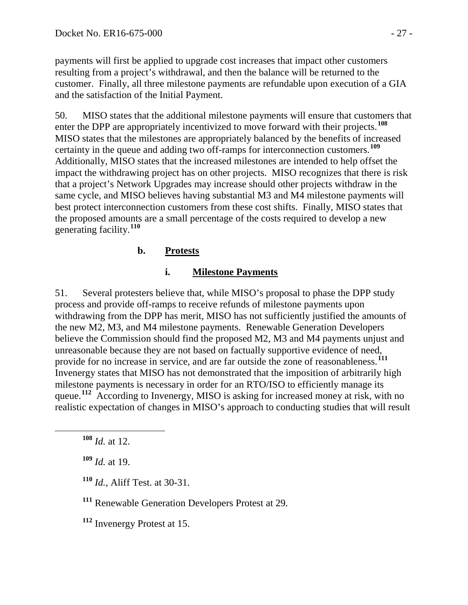payments will first be applied to upgrade cost increases that impact other customers resulting from a project's withdrawal, and then the balance will be returned to the customer. Finally, all three milestone payments are refundable upon execution of a GIA and the satisfaction of the Initial Payment.

50. MISO states that the additional milestone payments will ensure that customers that enter the DPP are appropriately incentivized to move forward with their projects.**[108](#page-26-1)** MISO states that the milestones are appropriately balanced by the benefits of increased certainty in the queue and adding two off-ramps for interconnection customers.**[109](#page-26-2)** Additionally, MISO states that the increased milestones are intended to help offset the impact the withdrawing project has on other projects. MISO recognizes that there is risk that a project's Network Upgrades may increase should other projects withdraw in the same cycle, and MISO believes having substantial M3 and M4 milestone payments will best protect interconnection customers from these cost shifts. Finally, MISO states that the proposed amounts are a small percentage of the costs required to develop a new generating facility.**[110](#page-26-3)**

# **b. Protests**

### **i. Milestone Payments**

<span id="page-26-0"></span>51. Several protesters believe that, while MISO's proposal to phase the DPP study process and provide off-ramps to receive refunds of milestone payments upon withdrawing from the DPP has merit, MISO has not sufficiently justified the amounts of the new M2, M3, and M4 milestone payments. Renewable Generation Developers believe the Commission should find the proposed M2, M3 and M4 payments unjust and unreasonable because they are not based on factually supportive evidence of need, provide for no increase in service, and are far outside the zone of reasonableness.**[111](#page-26-4)** Invenergy states that MISO has not demonstrated that the imposition of arbitrarily high milestone payments is necessary in order for an RTO/ISO to efficiently manage its queue.<sup>[112](#page-26-5)</sup> According to Invenergy, MISO is asking for increased money at risk, with no realistic expectation of changes in MISO's approach to conducting studies that will result

<span id="page-26-4"></span>**<sup>111</sup>** Renewable Generation Developers Protest at 29.

<span id="page-26-5"></span>**<sup>112</sup>** Invenergy Protest at 15.

<span id="page-26-1"></span>**<sup>108</sup>** *Id.* at 12.

<span id="page-26-2"></span>**<sup>109</sup>** *Id.* at 19.

<span id="page-26-3"></span>**<sup>110</sup>** *Id.*, Aliff Test. at 30-31.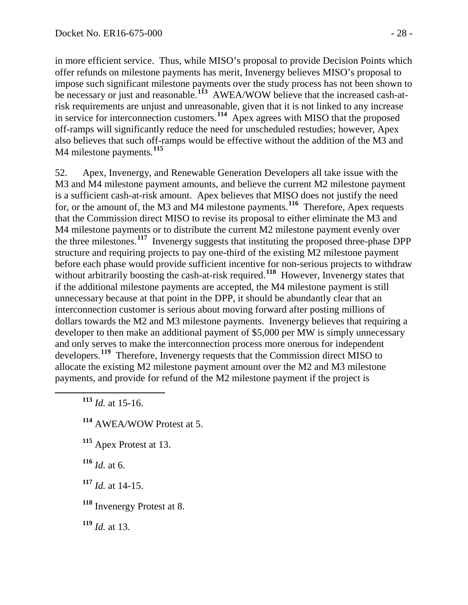in more efficient service. Thus, while MISO's proposal to provide Decision Points which offer refunds on milestone payments has merit, Invenergy believes MISO's proposal to impose such significant milestone payments over the study process has not been shown to be necessary or just and reasonable.<sup>[113](#page-27-0)</sup> AWEA/WOW believe that the increased cash-atrisk requirements are unjust and unreasonable, given that it is not linked to any increase in service for interconnection customers.**[114](#page-27-1)** Apex agrees with MISO that the proposed off-ramps will significantly reduce the need for unscheduled restudies; however, Apex also believes that such off-ramps would be effective without the addition of the M3 and M4 milestone payments.**[115](#page-27-2)**

52. Apex, Invenergy, and Renewable Generation Developers all take issue with the M3 and M4 milestone payment amounts, and believe the current M2 milestone payment is a sufficient cash-at-risk amount. Apex believes that MISO does not justify the need for, or the amount of, the M3 and M4 milestone payments.**[116](#page-27-3)** Therefore, Apex requests that the Commission direct MISO to revise its proposal to either eliminate the M3 and M4 milestone payments or to distribute the current M2 milestone payment evenly over the three milestones.**[117](#page-27-4)** Invenergy suggests that instituting the proposed three-phase DPP structure and requiring projects to pay one-third of the existing M2 milestone payment before each phase would provide sufficient incentive for non-serious projects to withdraw without arbitrarily boosting the cash-at-risk required.<sup>[118](#page-27-5)</sup> However, Invenergy states that if the additional milestone payments are accepted, the M4 milestone payment is still unnecessary because at that point in the DPP, it should be abundantly clear that an interconnection customer is serious about moving forward after posting millions of dollars towards the M2 and M3 milestone payments. Invenergy believes that requiring a developer to then make an additional payment of \$5,000 per MW is simply unnecessary and only serves to make the interconnection process more onerous for independent developers.**[119](#page-27-6)** Therefore, Invenergy requests that the Commission direct MISO to allocate the existing M2 milestone payment amount over the M2 and M3 milestone payments, and provide for refund of the M2 milestone payment if the project is

<span id="page-27-0"></span>**<sup>113</sup>** *Id.* at 15-16.

<span id="page-27-1"></span>**<sup>114</sup>** AWEA/WOW Protest at 5.

<span id="page-27-2"></span>**<sup>115</sup>** Apex Protest at 13.

<span id="page-27-3"></span>**<sup>116</sup>** *Id.* at 6.

<span id="page-27-4"></span>**<sup>117</sup>** *Id.* at 14-15.

<span id="page-27-5"></span>**<sup>118</sup>** Invenergy Protest at 8.

<span id="page-27-6"></span>**<sup>119</sup>** *Id.* at 13.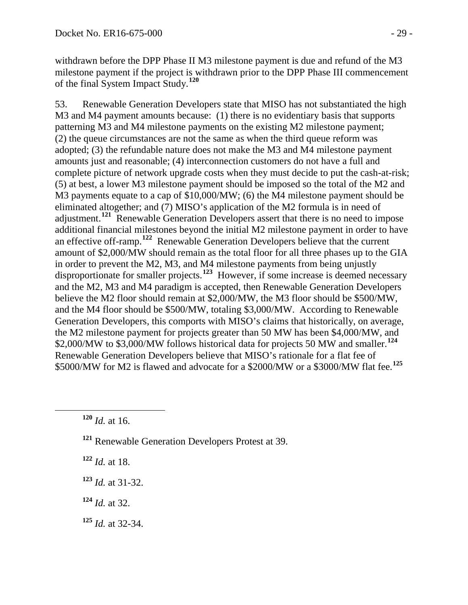withdrawn before the DPP Phase II M3 milestone payment is due and refund of the M3 milestone payment if the project is withdrawn prior to the DPP Phase III commencement of the final System Impact Study. **[120](#page-28-0)**

53. Renewable Generation Developers state that MISO has not substantiated the high M3 and M4 payment amounts because: (1) there is no evidentiary basis that supports patterning M3 and M4 milestone payments on the existing M2 milestone payment; (2) the queue circumstances are not the same as when the third queue reform was adopted; (3) the refundable nature does not make the M3 and M4 milestone payment amounts just and reasonable; (4) interconnection customers do not have a full and complete picture of network upgrade costs when they must decide to put the cash-at-risk; (5) at best, a lower M3 milestone payment should be imposed so the total of the M2 and M3 payments equate to a cap of \$10,000/MW; (6) the M4 milestone payment should be eliminated altogether; and (7) MISO's application of the M2 formula is in need of adjustment.**[121](#page-28-1)** Renewable Generation Developers assert that there is no need to impose additional financial milestones beyond the initial M2 milestone payment in order to have an effective off-ramp. **[122](#page-28-2)** Renewable Generation Developers believe that the current amount of \$2,000/MW should remain as the total floor for all three phases up to the GIA in order to prevent the M2, M3, and M4 milestone payments from being unjustly disproportionate for smaller projects.<sup>[123](#page-28-3)</sup> However, if some increase is deemed necessary and the M2, M3 and M4 paradigm is accepted, then Renewable Generation Developers believe the M2 floor should remain at \$2,000/MW, the M3 floor should be \$500/MW, and the M4 floor should be \$500/MW, totaling \$3,000/MW. According to Renewable Generation Developers, this comports with MISO's claims that historically, on average, the M2 milestone payment for projects greater than 50 MW has been \$4,000/MW, and \$2,000/MW to \$3,000/MW follows historical data for projects 50 MW and smaller.**[124](#page-28-4)** Renewable Generation Developers believe that MISO's rationale for a flat fee of \$5000/MW for M2 is flawed and advocate for a \$2000/MW or a \$3000/MW flat fee.**[125](#page-28-5)**

- <span id="page-28-1"></span>**<sup>121</sup>** Renewable Generation Developers Protest at 39.
- <span id="page-28-2"></span>**<sup>122</sup>** *Id.* at 18.
- <span id="page-28-3"></span>**<sup>123</sup>** *Id.* at 31-32.
- <span id="page-28-4"></span>**<sup>124</sup>** *Id.* at 32.
- <span id="page-28-5"></span>**<sup>125</sup>** *Id.* at 32-34.

<span id="page-28-0"></span>**<sup>120</sup>** *Id.* at 16.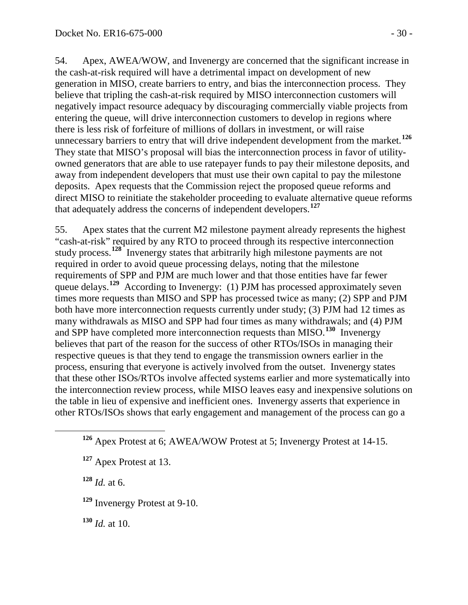54. Apex, AWEA/WOW, and Invenergy are concerned that the significant increase in the cash-at-risk required will have a detrimental impact on development of new generation in MISO, create barriers to entry, and bias the interconnection process. They believe that tripling the cash-at-risk required by MISO interconnection customers will negatively impact resource adequacy by discouraging commercially viable projects from entering the queue, will drive interconnection customers to develop in regions where there is less risk of forfeiture of millions of dollars in investment, or will raise unnecessary barriers to entry that will drive independent development from the market. **[126](#page-29-0)** They state that MISO's proposal will bias the interconnection process in favor of utilityowned generators that are able to use ratepayer funds to pay their milestone deposits, and away from independent developers that must use their own capital to pay the milestone deposits. Apex requests that the Commission reject the proposed queue reforms and direct MISO to reinitiate the stakeholder proceeding to evaluate alternative queue reforms that adequately address the concerns of independent developers.**[127](#page-29-1)**

55. Apex states that the current M2 milestone payment already represents the highest "cash-at-risk" required by any RTO to proceed through its respective interconnection study process.**[128](#page-29-2)** Invenergy states that arbitrarily high milestone payments are not required in order to avoid queue processing delays, noting that the milestone requirements of SPP and PJM are much lower and that those entities have far fewer queue delays.<sup>[129](#page-29-3)</sup> According to Invenergy: (1) PJM has processed approximately seven times more requests than MISO and SPP has processed twice as many; (2) SPP and PJM both have more interconnection requests currently under study; (3) PJM had 12 times as many withdrawals as MISO and SPP had four times as many withdrawals; and (4) PJM and SPP have completed more interconnection requests than MISO.**[130](#page-29-4)** Invenergy believes that part of the reason for the success of other RTOs/ISOs in managing their respective queues is that they tend to engage the transmission owners earlier in the process, ensuring that everyone is actively involved from the outset. Invenergy states that these other ISOs/RTOs involve affected systems earlier and more systematically into the interconnection review process, while MISO leaves easy and inexpensive solutions on the table in lieu of expensive and inefficient ones. Invenergy asserts that experience in other RTOs/ISOs shows that early engagement and management of the process can go a

<span id="page-29-2"></span> $128$  *Id.* at 6.

<span id="page-29-3"></span>**<sup>129</sup>** Invenergy Protest at 9-10.

<span id="page-29-4"></span>**<sup>130</sup>** *Id.* at 10.

<span id="page-29-0"></span>**<sup>126</sup>** Apex Protest at 6; AWEA/WOW Protest at 5; Invenergy Protest at 14-15.

<span id="page-29-1"></span>**<sup>127</sup>** Apex Protest at 13.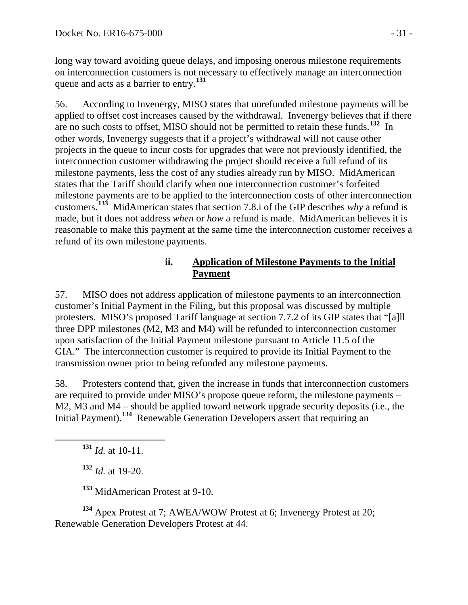long way toward avoiding queue delays, and imposing onerous milestone requirements on interconnection customers is not necessary to effectively manage an interconnection queue and acts as a barrier to entry. **[131](#page-30-0)**

56. According to Invenergy, MISO states that unrefunded milestone payments will be applied to offset cost increases caused by the withdrawal. Invenergy believes that if there are no such costs to offset, MISO should not be permitted to retain these funds. **[132](#page-30-1)** In other words, Invenergy suggests that if a project's withdrawal will not cause other projects in the queue to incur costs for upgrades that were not previously identified, the interconnection customer withdrawing the project should receive a full refund of its milestone payments, less the cost of any studies already run by MISO. MidAmerican states that the Tariff should clarify when one interconnection customer's forfeited milestone payments are to be applied to the interconnection costs of other interconnection customers.**[133](#page-30-2)** MidAmerican states that section 7.8.i of the GIP describes *why* a refund is made, but it does not address *when* or *how* a refund is made. MidAmerican believes it is reasonable to make this payment at the same time the interconnection customer receives a refund of its own milestone payments.

## **ii. Application of Milestone Payments to the Initial Payment**

57. MISO does not address application of milestone payments to an interconnection customer's Initial Payment in the Filing, but this proposal was discussed by multiple protesters. MISO's proposed Tariff language at section 7.7.2 of its GIP states that "[a]ll three DPP milestones (M2, M3 and M4) will be refunded to interconnection customer upon satisfaction of the Initial Payment milestone pursuant to Article 11.5 of the GIA." The interconnection customer is required to provide its Initial Payment to the transmission owner prior to being refunded any milestone payments.

58. Protesters contend that, given the increase in funds that interconnection customers are required to provide under MISO's propose queue reform, the milestone payments – M2, M3 and M4 – should be applied toward network upgrade security deposits (i.e., the Initial Payment).**[134](#page-30-3)** Renewable Generation Developers assert that requiring an

<span id="page-30-0"></span>**<sup>131</sup>** *Id.* at 10-11.

**<sup>132</sup>** *Id.* at 19-20.

**<sup>133</sup>** MidAmerican Protest at 9-10.

<span id="page-30-3"></span><span id="page-30-2"></span><span id="page-30-1"></span>**<sup>134</sup>** Apex Protest at 7; AWEA/WOW Protest at 6; Invenergy Protest at 20; Renewable Generation Developers Protest at 44.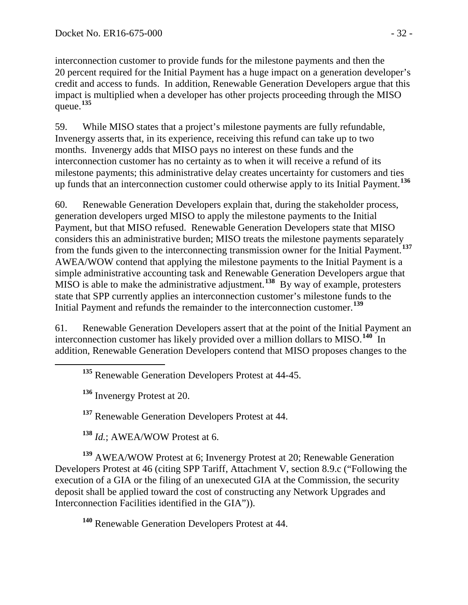interconnection customer to provide funds for the milestone payments and then the 20 percent required for the Initial Payment has a huge impact on a generation developer's credit and access to funds. In addition, Renewable Generation Developers argue that this impact is multiplied when a developer has other projects proceeding through the MISO queue.**[135](#page-31-0)**

59. While MISO states that a project's milestone payments are fully refundable, Invenergy asserts that, in its experience, receiving this refund can take up to two months. Invenergy adds that MISO pays no interest on these funds and the interconnection customer has no certainty as to when it will receive a refund of its milestone payments; this administrative delay creates uncertainty for customers and ties up funds that an interconnection customer could otherwise apply to its Initial Payment.**[136](#page-31-1)**

60. Renewable Generation Developers explain that, during the stakeholder process, generation developers urged MISO to apply the milestone payments to the Initial Payment, but that MISO refused. Renewable Generation Developers state that MISO considers this an administrative burden; MISO treats the milestone payments separately from the funds given to the interconnecting transmission owner for the Initial Payment.**[137](#page-31-2)** AWEA/WOW contend that applying the milestone payments to the Initial Payment is a simple administrative accounting task and Renewable Generation Developers argue that MISO is able to make the administrative adjustment. **[138](#page-31-3)** By way of example, protesters state that SPP currently applies an interconnection customer's milestone funds to the Initial Payment and refunds the remainder to the interconnection customer.**[139](#page-31-4)**

<span id="page-31-0"></span>61. Renewable Generation Developers assert that at the point of the Initial Payment an interconnection customer has likely provided over a million dollars to MISO.**[140](#page-31-5)** In addition, Renewable Generation Developers contend that MISO proposes changes to the

**<sup>135</sup>** Renewable Generation Developers Protest at 44-45.

**<sup>136</sup>** Invenergy Protest at 20.

**<sup>137</sup>** Renewable Generation Developers Protest at 44.

**<sup>138</sup>** *Id.*; AWEA/WOW Protest at 6.

<span id="page-31-4"></span><span id="page-31-3"></span><span id="page-31-2"></span><span id="page-31-1"></span>**<sup>139</sup>** AWEA/WOW Protest at 6; Invenergy Protest at 20; Renewable Generation Developers Protest at 46 (citing SPP Tariff, Attachment V, section 8.9.c ("Following the execution of a GIA or the filing of an unexecuted GIA at the Commission, the security deposit shall be applied toward the cost of constructing any Network Upgrades and Interconnection Facilities identified in the GIA")).

<span id="page-31-5"></span>**<sup>140</sup>** Renewable Generation Developers Protest at 44.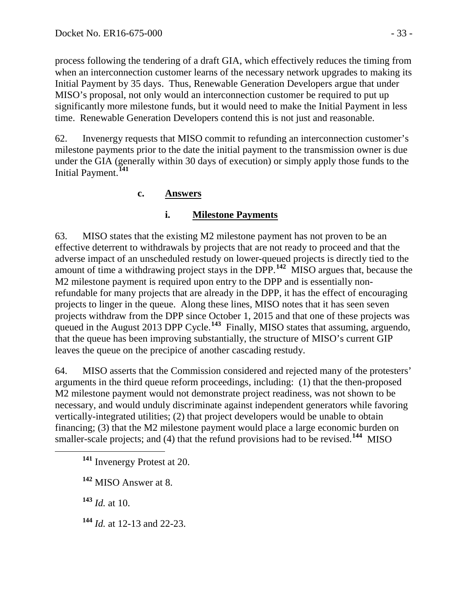process following the tendering of a draft GIA, which effectively reduces the timing from when an interconnection customer learns of the necessary network upgrades to making its Initial Payment by 35 days. Thus, Renewable Generation Developers argue that under MISO's proposal, not only would an interconnection customer be required to put up significantly more milestone funds, but it would need to make the Initial Payment in less time. Renewable Generation Developers contend this is not just and reasonable.

62. Invenergy requests that MISO commit to refunding an interconnection customer's milestone payments prior to the date the initial payment to the transmission owner is due under the GIA (generally within 30 days of execution) or simply apply those funds to the Initial Payment.**[141](#page-32-1)**

# **c. Answers**

# <span id="page-32-0"></span>**i. Milestone Payments**

63. MISO states that the existing M2 milestone payment has not proven to be an effective deterrent to withdrawals by projects that are not ready to proceed and that the adverse impact of an unscheduled restudy on lower-queued projects is directly tied to the amount of time a withdrawing project stays in the DPP.**[142](#page-32-2)** MISO argues that, because the M2 milestone payment is required upon entry to the DPP and is essentially nonrefundable for many projects that are already in the DPP, it has the effect of encouraging projects to linger in the queue. Along these lines, MISO notes that it has seen seven projects withdraw from the DPP since October 1, 2015 and that one of these projects was queued in the August 2013 DPP Cycle.<sup>[143](#page-32-3)</sup> Finally, MISO states that assuming, arguendo, that the queue has been improving substantially, the structure of MISO's current GIP leaves the queue on the precipice of another cascading restudy.

64. MISO asserts that the Commission considered and rejected many of the protesters' arguments in the third queue reform proceedings, including: (1) that the then-proposed M2 milestone payment would not demonstrate project readiness, was not shown to be necessary, and would unduly discriminate against independent generators while favoring vertically-integrated utilities; (2) that project developers would be unable to obtain financing; (3) that the M2 milestone payment would place a large economic burden on smaller-scale projects; and (4) that the refund provisions had to be revised.<sup>[144](#page-32-4)</sup> MISO

<span id="page-32-3"></span>**<sup>143</sup>** *Id.* at 10.

<span id="page-32-4"></span>**<sup>144</sup>** *Id.* at 12-13 and 22-23.

<span id="page-32-1"></span>**<sup>141</sup>** Invenergy Protest at 20.

<span id="page-32-2"></span>**<sup>142</sup>** MISO Answer at 8.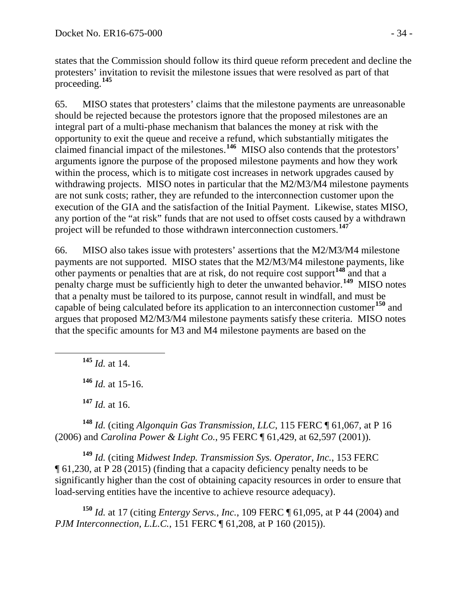states that the Commission should follow its third queue reform precedent and decline the protesters' invitation to revisit the milestone issues that were resolved as part of that proceeding.**[145](#page-33-0)**

65. MISO states that protesters' claims that the milestone payments are unreasonable should be rejected because the protestors ignore that the proposed milestones are an integral part of a multi-phase mechanism that balances the money at risk with the opportunity to exit the queue and receive a refund, which substantially mitigates the claimed financial impact of the milestones. **[146](#page-33-1)** MISO also contends that the protestors' arguments ignore the purpose of the proposed milestone payments and how they work within the process, which is to mitigate cost increases in network upgrades caused by withdrawing projects. MISO notes in particular that the M2/M3/M4 milestone payments are not sunk costs; rather, they are refunded to the interconnection customer upon the execution of the GIA and the satisfaction of the Initial Payment. Likewise, states MISO, any portion of the "at risk" funds that are not used to offset costs caused by a withdrawn project will be refunded to those withdrawn interconnection customers.**[147](#page-33-2)**

66. MISO also takes issue with protesters' assertions that the M2/M3/M4 milestone payments are not supported. MISO states that the M2/M3/M4 milestone payments, like other payments or penalties that are at risk, do not require cost support<sup>[148](#page-33-3)</sup> and that a penalty charge must be sufficiently high to deter the unwanted behavior.**[149](#page-33-4)** MISO notes that a penalty must be tailored to its purpose, cannot result in windfall, and must be capable of being calculated before its application to an interconnection customer**[150](#page-33-5)** and argues that proposed M2/M3/M4 milestone payments satisfy these criteria. MISO notes that the specific amounts for M3 and M4 milestone payments are based on the

<span id="page-33-0"></span>**<sup>145</sup>** *Id.* at 14.

**<sup>146</sup>** *Id.* at 15-16.

**<sup>147</sup>** *Id.* at 16.

<span id="page-33-3"></span><span id="page-33-2"></span><span id="page-33-1"></span>**<sup>148</sup>** *Id.* (citing *Algonquin Gas Transmission, LLC*, 115 FERC ¶ 61,067, at P 16 (2006) and *Carolina Power & Light Co.*, 95 FERC ¶ 61,429, at 62,597 (2001)).

<span id="page-33-4"></span>**<sup>149</sup>** *Id.* (citing *Midwest Indep. Transmission Sys. Operator, Inc.*, 153 FERC ¶ 61,230, at P 28 (2015) (finding that a capacity deficiency penalty needs to be significantly higher than the cost of obtaining capacity resources in order to ensure that load-serving entities have the incentive to achieve resource adequacy).

<span id="page-33-5"></span>**<sup>150</sup>** *Id.* at 17 (citing *Entergy Servs., Inc.*, 109 FERC ¶ 61,095, at P 44 (2004) and *PJM Interconnection, L.L.C.*, 151 FERC ¶ 61,208, at P 160 (2015)).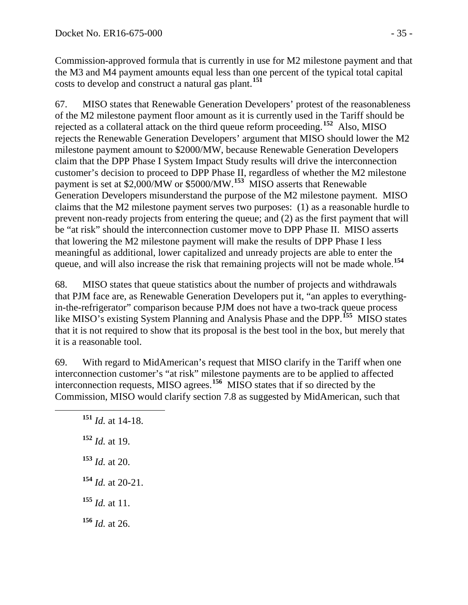Commission-approved formula that is currently in use for M2 milestone payment and that the M3 and M4 payment amounts equal less than one percent of the typical total capital costs to develop and construct a natural gas plant. **[151](#page-34-0)**

67. MISO states that Renewable Generation Developers' protest of the reasonableness of the M2 milestone payment floor amount as it is currently used in the Tariff should be rejected as a collateral attack on the third queue reform proceeding.**[152](#page-34-1)** Also, MISO rejects the Renewable Generation Developers' argument that MISO should lower the M2 milestone payment amount to \$2000/MW, because Renewable Generation Developers claim that the DPP Phase I System Impact Study results will drive the interconnection customer's decision to proceed to DPP Phase II, regardless of whether the M2 milestone payment is set at \$2,000/MW or \$5000/MW. **[153](#page-34-2)** MISO asserts that Renewable Generation Developers misunderstand the purpose of the M2 milestone payment. MISO claims that the M2 milestone payment serves two purposes: (1) as a reasonable hurdle to prevent non-ready projects from entering the queue; and (2) as the first payment that will be "at risk" should the interconnection customer move to DPP Phase II. MISO asserts that lowering the M2 milestone payment will make the results of DPP Phase I less meaningful as additional, lower capitalized and unready projects are able to enter the queue, and will also increase the risk that remaining projects will not be made whole. **[154](#page-34-3)**

68. MISO states that queue statistics about the number of projects and withdrawals that PJM face are, as Renewable Generation Developers put it, "an apples to everythingin-the-refrigerator" comparison because PJM does not have a two-track queue process like MISO's existing System Planning and Analysis Phase and the DPP.<sup>[155](#page-34-4)</sup> MISO states that it is not required to show that its proposal is the best tool in the box, but merely that it is a reasonable tool.

<span id="page-34-0"></span>69. With regard to MidAmerican's request that MISO clarify in the Tariff when one interconnection customer's "at risk" milestone payments are to be applied to affected interconnection requests, MISO agrees.**[156](#page-34-5)** MISO states that if so directed by the Commission, MISO would clarify section 7.8 as suggested by MidAmerican, such that

<span id="page-34-5"></span><span id="page-34-4"></span><span id="page-34-3"></span><span id="page-34-2"></span><span id="page-34-1"></span> **<sup>151</sup>** *Id.* at 14-18. *Id.* at 19. *Id.* at 20. *Id.* at 20-21. *Id.* at 11. *Id.* at 26.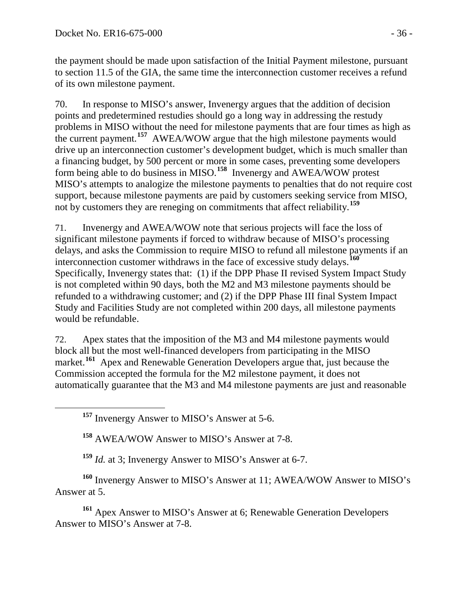the payment should be made upon satisfaction of the Initial Payment milestone, pursuant to section 11.5 of the GIA, the same time the interconnection customer receives a refund of its own milestone payment.

70. In response to MISO's answer, Invenergy argues that the addition of decision points and predetermined restudies should go a long way in addressing the restudy problems in MISO without the need for milestone payments that are four times as high as the current payment.**[157](#page-35-0)** AWEA/WOW argue that the high milestone payments would drive up an interconnection customer's development budget, which is much smaller than a financing budget, by 500 percent or more in some cases, preventing some developers form being able to do business in MISO.**[158](#page-35-1)** Invenergy and AWEA/WOW protest MISO's attempts to analogize the milestone payments to penalties that do not require cost support, because milestone payments are paid by customers seeking service from MISO, not by customers they are reneging on commitments that affect reliability.**[159](#page-35-2)**

71. Invenergy and AWEA/WOW note that serious projects will face the loss of significant milestone payments if forced to withdraw because of MISO's processing delays, and asks the Commission to require MISO to refund all milestone payments if an interconnection customer withdraws in the face of excessive study delays.**[160](#page-35-3)** Specifically, Invenergy states that: (1) if the DPP Phase II revised System Impact Study is not completed within 90 days, both the M2 and M3 milestone payments should be refunded to a withdrawing customer; and (2) if the DPP Phase III final System Impact Study and Facilities Study are not completed within 200 days, all milestone payments would be refundable.

72. Apex states that the imposition of the M3 and M4 milestone payments would block all but the most well-financed developers from participating in the MISO market.<sup>[161](#page-35-4)</sup> Apex and Renewable Generation Developers argue that, just because the Commission accepted the formula for the M2 milestone payment, it does not automatically guarantee that the M3 and M4 milestone payments are just and reasonable

**<sup>158</sup>** AWEA/WOW Answer to MISO's Answer at 7-8.

**<sup>159</sup>** *Id.* at 3; Invenergy Answer to MISO's Answer at 6-7.

<span id="page-35-3"></span><span id="page-35-2"></span><span id="page-35-1"></span><span id="page-35-0"></span>**<sup>160</sup>** Invenergy Answer to MISO's Answer at 11; AWEA/WOW Answer to MISO's Answer at 5.

<span id="page-35-4"></span>**<sup>161</sup>** Apex Answer to MISO's Answer at 6; Renewable Generation Developers Answer to MISO's Answer at 7-8.

**<sup>157</sup>** Invenergy Answer to MISO's Answer at 5-6.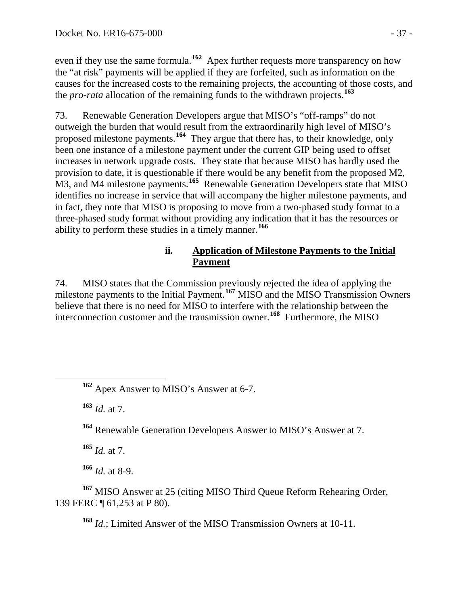even if they use the same formula.<sup>[162](#page-36-0)</sup> Apex further requests more transparency on how the "at risk" payments will be applied if they are forfeited, such as information on the causes for the increased costs to the remaining projects, the accounting of those costs, and the *pro-rata* allocation of the remaining funds to the withdrawn projects.**[163](#page-36-1)**

73. Renewable Generation Developers argue that MISO's "off-ramps" do not outweigh the burden that would result from the extraordinarily high level of MISO's proposed milestone payments. **[164](#page-36-2)** They argue that there has, to their knowledge, only been one instance of a milestone payment under the current GIP being used to offset increases in network upgrade costs. They state that because MISO has hardly used the provision to date, it is questionable if there would be any benefit from the proposed M2, M3, and M4 milestone payments.<sup>[165](#page-36-3)</sup> Renewable Generation Developers state that MISO identifies no increase in service that will accompany the higher milestone payments, and in fact, they note that MISO is proposing to move from a two-phased study format to a three-phased study format without providing any indication that it has the resources or ability to perform these studies in a timely manner.**[166](#page-36-4)**

# **ii. Application of Milestone Payments to the Initial Payment**

74. MISO states that the Commission previously rejected the idea of applying the milestone payments to the Initial Payment.**[167](#page-36-5)** MISO and the MISO Transmission Owners believe that there is no need for MISO to interfere with the relationship between the interconnection customer and the transmission owner. **[168](#page-36-6)** Furthermore, the MISO

<span id="page-36-0"></span>**<sup>162</sup>** Apex Answer to MISO's Answer at 6-7.

<span id="page-36-1"></span>**<sup>163</sup>** *Id.* at 7.

<span id="page-36-2"></span>**<sup>164</sup>** Renewable Generation Developers Answer to MISO's Answer at 7.

**<sup>165</sup>** *Id.* at 7.

**<sup>166</sup>** *Id.* at 8-9.

<span id="page-36-6"></span><span id="page-36-5"></span><span id="page-36-4"></span><span id="page-36-3"></span>**<sup>167</sup>** MISO Answer at 25 (citing MISO Third Queue Reform Rehearing Order, 139 FERC ¶ 61,253 at P 80).

**<sup>168</sup>** *Id.*; Limited Answer of the MISO Transmission Owners at 10-11.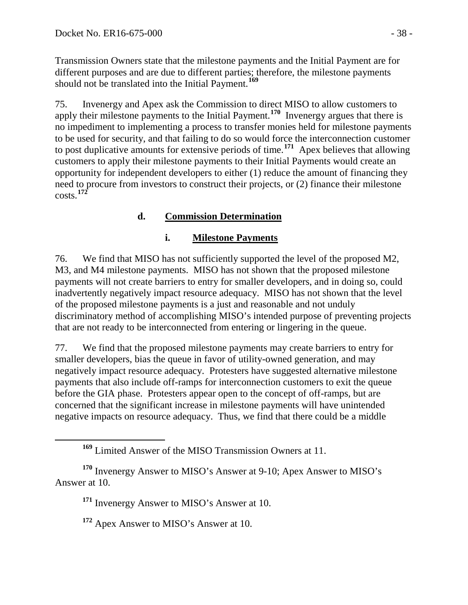Transmission Owners state that the milestone payments and the Initial Payment are for different purposes and are due to different parties; therefore, the milestone payments should not be translated into the Initial Payment.**[169](#page-37-1)**

75. Invenergy and Apex ask the Commission to direct MISO to allow customers to apply their milestone payments to the Initial Payment.**[170](#page-37-2)** Invenergy argues that there is no impediment to implementing a process to transfer monies held for milestone payments to be used for security, and that failing to do so would force the interconnection customer to post duplicative amounts for extensive periods of time.**[171](#page-37-3)** Apex believes that allowing customers to apply their milestone payments to their Initial Payments would create an opportunity for independent developers to either (1) reduce the amount of financing they need to procure from investors to construct their projects, or (2) finance their milestone costs.**[172](#page-37-4)**

# **d. Commission Determination**

### <span id="page-37-0"></span>**i. Milestone Payments**

76. We find that MISO has not sufficiently supported the level of the proposed M2, M3, and M4 milestone payments. MISO has not shown that the proposed milestone payments will not create barriers to entry for smaller developers, and in doing so, could inadvertently negatively impact resource adequacy. MISO has not shown that the level of the proposed milestone payments is a just and reasonable and not unduly discriminatory method of accomplishing MISO's intended purpose of preventing projects that are not ready to be interconnected from entering or lingering in the queue.

77. We find that the proposed milestone payments may create barriers to entry for smaller developers, bias the queue in favor of utility-owned generation, and may negatively impact resource adequacy. Protesters have suggested alternative milestone payments that also include off-ramps for interconnection customers to exit the queue before the GIA phase. Protesters appear open to the concept of off-ramps, but are concerned that the significant increase in milestone payments will have unintended negative impacts on resource adequacy. Thus, we find that there could be a middle

**<sup>169</sup>** Limited Answer of the MISO Transmission Owners at 11.

<span id="page-37-4"></span><span id="page-37-3"></span><span id="page-37-2"></span><span id="page-37-1"></span>**<sup>170</sup>** Invenergy Answer to MISO's Answer at 9-10; Apex Answer to MISO's Answer at 10.

**<sup>171</sup>** Invenergy Answer to MISO's Answer at 10.

**<sup>172</sup>** Apex Answer to MISO's Answer at 10.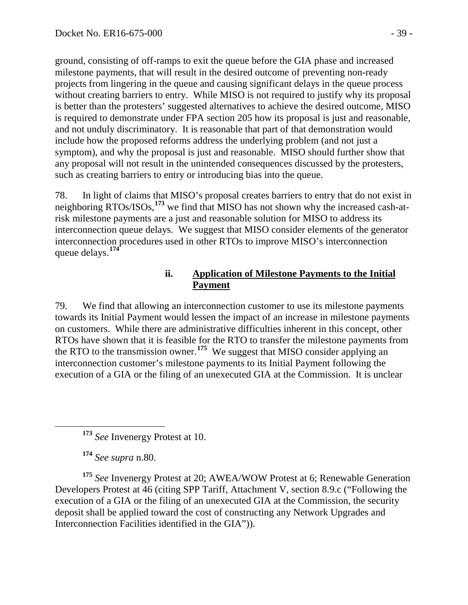ground, consisting of off-ramps to exit the queue before the GIA phase and increased milestone payments, that will result in the desired outcome of preventing non-ready projects from lingering in the queue and causing significant delays in the queue process without creating barriers to entry. While MISO is not required to justify why its proposal is better than the protesters' suggested alternatives to achieve the desired outcome, MISO is required to demonstrate under FPA section 205 how its proposal is just and reasonable, and not unduly discriminatory. It is reasonable that part of that demonstration would include how the proposed reforms address the underlying problem (and not just a symptom), and why the proposal is just and reasonable. MISO should further show that any proposal will not result in the unintended consequences discussed by the protesters, such as creating barriers to entry or introducing bias into the queue.

78. In light of claims that MISO's proposal creates barriers to entry that do not exist in neighboring RTOs/ISOs,**[173](#page-38-0)** we find that MISO has not shown why the increased cash-atrisk milestone payments are a just and reasonable solution for MISO to address its interconnection queue delays. We suggest that MISO consider elements of the generator interconnection procedures used in other RTOs to improve MISO's interconnection queue delays. **[174](#page-38-1)**

#### **ii. Application of Milestone Payments to the Initial Payment**

79. We find that allowing an interconnection customer to use its milestone payments towards its Initial Payment would lessen the impact of an increase in milestone payments on customers. While there are administrative difficulties inherent in this concept, other RTOs have shown that it is feasible for the RTO to transfer the milestone payments from the RTO to the transmission owner.**[175](#page-38-2)** We suggest that MISO consider applying an interconnection customer's milestone payments to its Initial Payment following the execution of a GIA or the filing of an unexecuted GIA at the Commission. It is unclear

**<sup>174</sup>** *See supra* n.80.

<span id="page-38-2"></span><span id="page-38-1"></span><span id="page-38-0"></span>**<sup>175</sup>** *See* Invenergy Protest at 20; AWEA/WOW Protest at 6; Renewable Generation Developers Protest at 46 (citing SPP Tariff, Attachment V, section 8.9.c ("Following the execution of a GIA or the filing of an unexecuted GIA at the Commission, the security deposit shall be applied toward the cost of constructing any Network Upgrades and Interconnection Facilities identified in the GIA")).

**<sup>173</sup>** *See* Invenergy Protest at 10.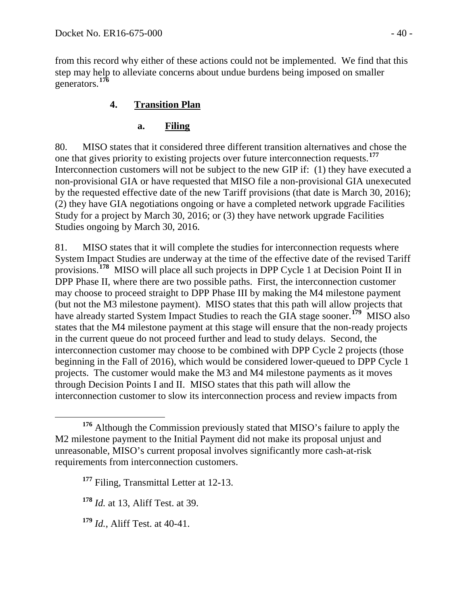from this record why either of these actions could not be implemented. We find that this step may help to alleviate concerns about undue burdens being imposed on smaller generators.**[176](#page-39-2)**

# **4. Transition Plan**

# <span id="page-39-1"></span><span id="page-39-0"></span>**a. Filing**

80. MISO states that it considered three different transition alternatives and chose the one that gives priority to existing projects over future interconnection requests.**[177](#page-39-3)** Interconnection customers will not be subject to the new GIP if: (1) they have executed a non-provisional GIA or have requested that MISO file a non-provisional GIA unexecuted by the requested effective date of the new Tariff provisions (that date is March 30, 2016); (2) they have GIA negotiations ongoing or have a completed network upgrade Facilities Study for a project by March 30, 2016; or (3) they have network upgrade Facilities Studies ongoing by March 30, 2016.

81. MISO states that it will complete the studies for interconnection requests where System Impact Studies are underway at the time of the effective date of the revised Tariff provisions.**[178](#page-39-4)** MISO will place all such projects in DPP Cycle 1 at Decision Point II in DPP Phase II, where there are two possible paths. First, the interconnection customer may choose to proceed straight to DPP Phase III by making the M4 milestone payment (but not the M3 milestone payment). MISO states that this path will allow projects that have already started System Impact Studies to reach the GIA stage sooner.<sup>[179](#page-39-5)</sup> MISO also states that the M4 milestone payment at this stage will ensure that the non-ready projects in the current queue do not proceed further and lead to study delays. Second, the interconnection customer may choose to be combined with DPP Cycle 2 projects (those beginning in the Fall of 2016), which would be considered lower-queued to DPP Cycle 1 projects. The customer would make the M3 and M4 milestone payments as it moves through Decision Points I and II. MISO states that this path will allow the interconnection customer to slow its interconnection process and review impacts from

<span id="page-39-3"></span><span id="page-39-2"></span>**<sup>176</sup>** Although the Commission previously stated that MISO's failure to apply the M2 milestone payment to the Initial Payment did not make its proposal unjust and unreasonable, MISO's current proposal involves significantly more cash-at-risk requirements from interconnection customers.

**<sup>177</sup>** Filing, Transmittal Letter at 12-13.

<span id="page-39-4"></span>**<sup>178</sup>** *Id.* at 13, Aliff Test. at 39.

<span id="page-39-5"></span>**<sup>179</sup>** *Id.*, Aliff Test. at 40-41.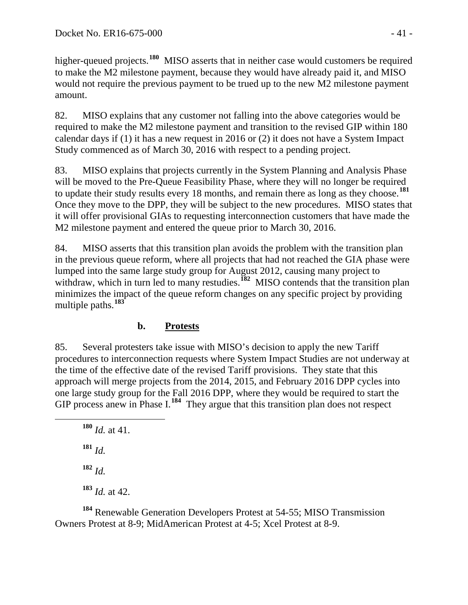higher-queued projects.**[180](#page-40-1)** MISO asserts that in neither case would customers be required to make the M2 milestone payment, because they would have already paid it, and MISO would not require the previous payment to be trued up to the new M2 milestone payment amount.

82. MISO explains that any customer not falling into the above categories would be required to make the M2 milestone payment and transition to the revised GIP within 180 calendar days if (1) it has a new request in 2016 or (2) it does not have a System Impact Study commenced as of March 30, 2016 with respect to a pending project.

83. MISO explains that projects currently in the System Planning and Analysis Phase will be moved to the Pre-Queue Feasibility Phase, where they will no longer be required to update their study results every 18 months, and remain there as long as they choose.**[181](#page-40-2)** Once they move to the DPP, they will be subject to the new procedures. MISO states that it will offer provisional GIAs to requesting interconnection customers that have made the M2 milestone payment and entered the queue prior to March 30, 2016.

84. MISO asserts that this transition plan avoids the problem with the transition plan in the previous queue reform, where all projects that had not reached the GIA phase were lumped into the same large study group for August 2012, causing many project to withdraw, which in turn led to many restudies.<sup>[182](#page-40-3)</sup> MISO contends that the transition plan minimizes the impact of the queue reform changes on any specific project by providing multiple paths. **[183](#page-40-4)**

# **b. Protests**

<span id="page-40-0"></span>85. Several protesters take issue with MISO's decision to apply the new Tariff procedures to interconnection requests where System Impact Studies are not underway at the time of the effective date of the revised Tariff provisions. They state that this approach will merge projects from the 2014, 2015, and February 2016 DPP cycles into one large study group for the Fall 2016 DPP, where they would be required to start the GIP process anew in Phase I.<sup>[184](#page-40-5)</sup> They argue that this transition plan does not respect

<span id="page-40-2"></span><span id="page-40-1"></span> **<sup>180</sup>** *Id.* at 41. **<sup>181</sup>** *Id.* **<sup>182</sup>** *Id.* **<sup>183</sup>** *Id.* at 42.

<span id="page-40-5"></span><span id="page-40-4"></span><span id="page-40-3"></span>**<sup>184</sup>** Renewable Generation Developers Protest at 54-55; MISO Transmission Owners Protest at 8-9; MidAmerican Protest at 4-5; Xcel Protest at 8-9.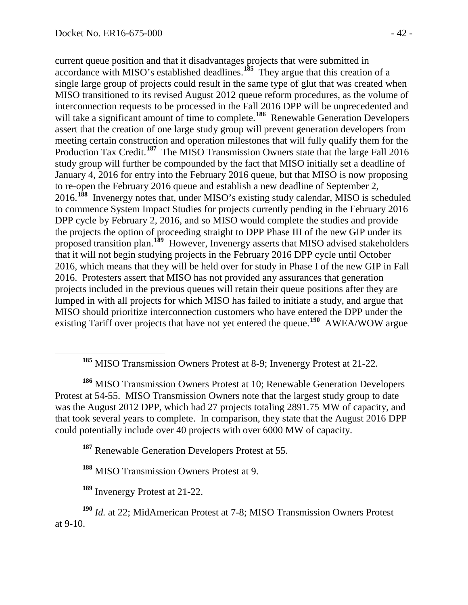current queue position and that it disadvantages projects that were submitted in accordance with MISO's established deadlines.**[185](#page-41-0)** They argue that this creation of a single large group of projects could result in the same type of glut that was created when MISO transitioned to its revised August 2012 queue reform procedures, as the volume of interconnection requests to be processed in the Fall 2016 DPP will be unprecedented and will take a significant amount of time to complete.<sup>[186](#page-41-1)</sup> Renewable Generation Developers assert that the creation of one large study group will prevent generation developers from meeting certain construction and operation milestones that will fully qualify them for the Production Tax Credit.<sup>[187](#page-41-2)</sup> The MISO Transmission Owners state that the large Fall 2016 study group will further be compounded by the fact that MISO initially set a deadline of January 4, 2016 for entry into the February 2016 queue, but that MISO is now proposing to re-open the February 2016 queue and establish a new deadline of September 2, 2016.**[188](#page-41-3)** Invenergy notes that, under MISO's existing study calendar, MISO is scheduled to commence System Impact Studies for projects currently pending in the February 2016 DPP cycle by February 2, 2016, and so MISO would complete the studies and provide the projects the option of proceeding straight to DPP Phase III of the new GIP under its proposed transition plan.<sup>[189](#page-41-4)</sup> However, Invenergy asserts that MISO advised stakeholders that it will not begin studying projects in the February 2016 DPP cycle until October 2016, which means that they will be held over for study in Phase I of the new GIP in Fall 2016. Protesters assert that MISO has not provided any assurances that generation projects included in the previous queues will retain their queue positions after they are lumped in with all projects for which MISO has failed to initiate a study, and argue that MISO should prioritize interconnection customers who have entered the DPP under the existing Tariff over projects that have not yet entered the queue.**[190](#page-41-5)** AWEA/WOW argue

<span id="page-41-1"></span><span id="page-41-0"></span>**<sup>186</sup>** MISO Transmission Owners Protest at 10; Renewable Generation Developers Protest at 54-55. MISO Transmission Owners note that the largest study group to date was the August 2012 DPP, which had 27 projects totaling 2891.75 MW of capacity, and that took several years to complete. In comparison, they state that the August 2016 DPP could potentially include over 40 projects with over 6000 MW of capacity.

**<sup>187</sup>** Renewable Generation Developers Protest at 55.

**<sup>188</sup>** MISO Transmission Owners Protest at 9.

**<sup>189</sup>** Invenergy Protest at 21-22.

<span id="page-41-5"></span><span id="page-41-4"></span><span id="page-41-3"></span><span id="page-41-2"></span>**<sup>190</sup>** *Id.* at 22; MidAmerican Protest at 7-8; MISO Transmission Owners Protest at 9-10.

**<sup>185</sup>** MISO Transmission Owners Protest at 8-9; Invenergy Protest at 21-22.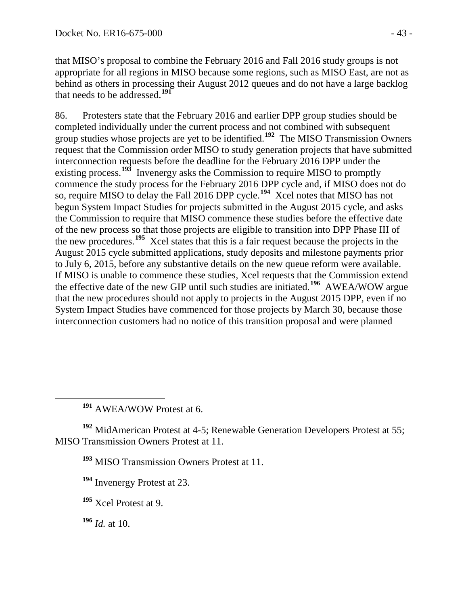that MISO's proposal to combine the February 2016 and Fall 2016 study groups is not appropriate for all regions in MISO because some regions, such as MISO East, are not as behind as others in processing their August 2012 queues and do not have a large backlog that needs to be addressed.**[191](#page-42-0)**

86. Protesters state that the February 2016 and earlier DPP group studies should be completed individually under the current process and not combined with subsequent group studies whose projects are yet to be identified.**[192](#page-42-1)** The MISO Transmission Owners request that the Commission order MISO to study generation projects that have submitted interconnection requests before the deadline for the February 2016 DPP under the existing process.**[193](#page-42-2)** Invenergy asks the Commission to require MISO to promptly commence the study process for the February 2016 DPP cycle and, if MISO does not do so, require MISO to delay the Fall 2016 DPP cycle.**[194](#page-42-3)** Xcel notes that MISO has not begun System Impact Studies for projects submitted in the August 2015 cycle, and asks the Commission to require that MISO commence these studies before the effective date of the new process so that those projects are eligible to transition into DPP Phase III of the new procedures.**[195](#page-42-4)** Xcel states that this is a fair request because the projects in the August 2015 cycle submitted applications, study deposits and milestone payments prior to July 6, 2015, before any substantive details on the new queue reform were available. If MISO is unable to commence these studies, Xcel requests that the Commission extend the effective date of the new GIP until such studies are initiated.**[196](#page-42-5)** AWEA/WOW argue that the new procedures should not apply to projects in the August 2015 DPP, even if no System Impact Studies have commenced for those projects by March 30, because those interconnection customers had no notice of this transition proposal and were planned

**<sup>191</sup>** AWEA/WOW Protest at 6.

<span id="page-42-3"></span><span id="page-42-2"></span><span id="page-42-1"></span><span id="page-42-0"></span>**<sup>192</sup>** MidAmerican Protest at 4-5; Renewable Generation Developers Protest at 55; MISO Transmission Owners Protest at 11.

**<sup>193</sup>** MISO Transmission Owners Protest at 11.

<span id="page-42-5"></span>**<sup>196</sup>** *Id.* at 10.

**<sup>194</sup>** Invenergy Protest at 23.

<span id="page-42-4"></span>**<sup>195</sup>** Xcel Protest at 9.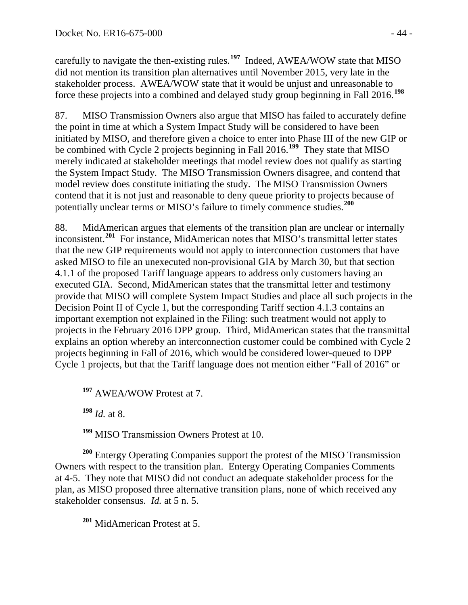carefully to navigate the then-existing rules.**[197](#page-43-0)** Indeed, AWEA/WOW state that MISO did not mention its transition plan alternatives until November 2015, very late in the stakeholder process. AWEA/WOW state that it would be unjust and unreasonable to force these projects into a combined and delayed study group beginning in Fall 2016.**[198](#page-43-1)**

87. MISO Transmission Owners also argue that MISO has failed to accurately define the point in time at which a System Impact Study will be considered to have been initiated by MISO, and therefore given a choice to enter into Phase III of the new GIP or be combined with Cycle 2 projects beginning in Fall 2016.**[199](#page-43-2)** They state that MISO merely indicated at stakeholder meetings that model review does not qualify as starting the System Impact Study. The MISO Transmission Owners disagree, and contend that model review does constitute initiating the study. The MISO Transmission Owners contend that it is not just and reasonable to deny queue priority to projects because of potentially unclear terms or MISO's failure to timely commence studies.**[200](#page-43-3)**

88. MidAmerican argues that elements of the transition plan are unclear or internally inconsistent.**[201](#page-43-4)** For instance, MidAmerican notes that MISO's transmittal letter states that the new GIP requirements would not apply to interconnection customers that have asked MISO to file an unexecuted non-provisional GIA by March 30, but that section 4.1.1 of the proposed Tariff language appears to address only customers having an executed GIA. Second, MidAmerican states that the transmittal letter and testimony provide that MISO will complete System Impact Studies and place all such projects in the Decision Point II of Cycle 1, but the corresponding Tariff section 4.1.3 contains an important exemption not explained in the Filing: such treatment would not apply to projects in the February 2016 DPP group. Third, MidAmerican states that the transmittal explains an option whereby an interconnection customer could be combined with Cycle 2 projects beginning in Fall of 2016, which would be considered lower-queued to DPP Cycle 1 projects, but that the Tariff language does not mention either "Fall of 2016" or

**<sup>197</sup>** AWEA/WOW Protest at 7.

**<sup>198</sup>** *Id.* at 8.

**<sup>199</sup>** MISO Transmission Owners Protest at 10.

<span id="page-43-3"></span><span id="page-43-2"></span><span id="page-43-1"></span><span id="page-43-0"></span>**<sup>200</sup>** Entergy Operating Companies support the protest of the MISO Transmission Owners with respect to the transition plan. Entergy Operating Companies Comments at 4-5. They note that MISO did not conduct an adequate stakeholder process for the plan, as MISO proposed three alternative transition plans, none of which received any stakeholder consensus. *Id.* at 5 n. 5.

<span id="page-43-4"></span>**<sup>201</sup>** MidAmerican Protest at 5.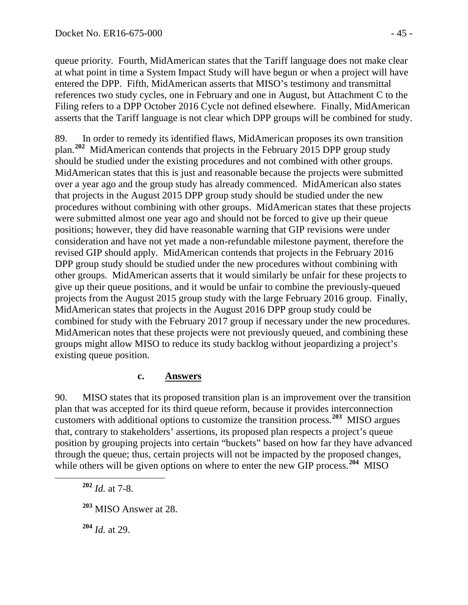queue priority. Fourth, MidAmerican states that the Tariff language does not make clear at what point in time a System Impact Study will have begun or when a project will have entered the DPP. Fifth, MidAmerican asserts that MISO's testimony and transmittal references two study cycles, one in February and one in August, but Attachment C to the Filing refers to a DPP October 2016 Cycle not defined elsewhere. Finally, MidAmerican asserts that the Tariff language is not clear which DPP groups will be combined for study.

89. In order to remedy its identified flaws, MidAmerican proposes its own transition plan.**[202](#page-44-1)** MidAmerican contends that projects in the February 2015 DPP group study should be studied under the existing procedures and not combined with other groups. MidAmerican states that this is just and reasonable because the projects were submitted over a year ago and the group study has already commenced. MidAmerican also states that projects in the August 2015 DPP group study should be studied under the new procedures without combining with other groups. MidAmerican states that these projects were submitted almost one year ago and should not be forced to give up their queue positions; however, they did have reasonable warning that GIP revisions were under consideration and have not yet made a non-refundable milestone payment, therefore the revised GIP should apply. MidAmerican contends that projects in the February 2016 DPP group study should be studied under the new procedures without combining with other groups. MidAmerican asserts that it would similarly be unfair for these projects to give up their queue positions, and it would be unfair to combine the previously-queued projects from the August 2015 group study with the large February 2016 group. Finally, MidAmerican states that projects in the August 2016 DPP group study could be combined for study with the February 2017 group if necessary under the new procedures. MidAmerican notes that these projects were not previously queued, and combining these groups might allow MISO to reduce its study backlog without jeopardizing a project's existing queue position.

#### <span id="page-44-0"></span>**c. Answers**

90. MISO states that its proposed transition plan is an improvement over the transition plan that was accepted for its third queue reform, because it provides interconnection customers with additional options to customize the transition process.**[203](#page-44-2)** MISO argues that, contrary to stakeholders' assertions, its proposed plan respects a project's queue position by grouping projects into certain "buckets" based on how far they have advanced through the queue; thus, certain projects will not be impacted by the proposed changes, while others will be given options on where to enter the new GIP process.<sup>[204](#page-44-3)</sup> MISO

<span id="page-44-1"></span>**<sup>202</sup>** *Id.* at 7-8.

<span id="page-44-2"></span>**<sup>203</sup>** MISO Answer at 28.

<span id="page-44-3"></span>**<sup>204</sup>** *Id.* at 29.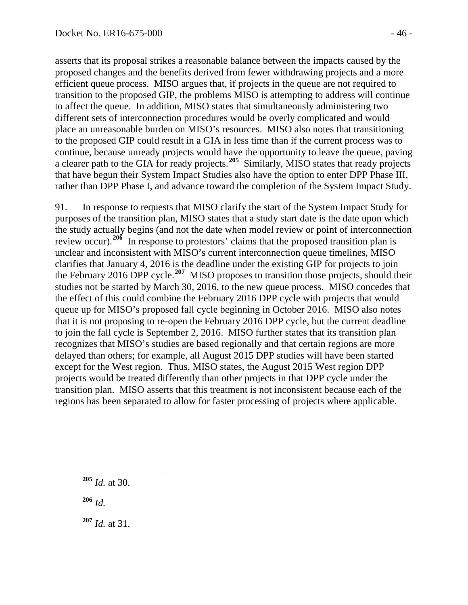asserts that its proposal strikes a reasonable balance between the impacts caused by the proposed changes and the benefits derived from fewer withdrawing projects and a more efficient queue process. MISO argues that, if projects in the queue are not required to transition to the proposed GIP, the problems MISO is attempting to address will continue to affect the queue. In addition, MISO states that simultaneously administering two different sets of interconnection procedures would be overly complicated and would place an unreasonable burden on MISO's resources. MISO also notes that transitioning to the proposed GIP could result in a GIA in less time than if the current process was to continue, because unready projects would have the opportunity to leave the queue, paving a clearer path to the GIA for ready projects.**[205](#page-45-0)** Similarly, MISO states that ready projects that have begun their System Impact Studies also have the option to enter DPP Phase III, rather than DPP Phase I, and advance toward the completion of the System Impact Study.

91. In response to requests that MISO clarify the start of the System Impact Study for purposes of the transition plan, MISO states that a study start date is the date upon which the study actually begins (and not the date when model review or point of interconnection review occur).**[206](#page-45-1)** In response to protestors' claims that the proposed transition plan is unclear and inconsistent with MISO's current interconnection queue timelines, MISO clarifies that January 4, 2016 is the deadline under the existing GIP for projects to join the February 2016 DPP cycle.**[207](#page-45-2)** MISO proposes to transition those projects, should their studies not be started by March 30, 2016, to the new queue process. MISO concedes that the effect of this could combine the February 2016 DPP cycle with projects that would queue up for MISO's proposed fall cycle beginning in October 2016. MISO also notes that it is not proposing to re-open the February 2016 DPP cycle, but the current deadline to join the fall cycle is September 2, 2016. MISO further states that its transition plan recognizes that MISO's studies are based regionally and that certain regions are more delayed than others; for example, all August 2015 DPP studies will have been started except for the West region. Thus, MISO states, the August 2015 West region DPP projects would be treated differently than other projects in that DPP cycle under the transition plan. MISO asserts that this treatment is not inconsistent because each of the regions has been separated to allow for faster processing of projects where applicable.

<span id="page-45-0"></span>**<sup>205</sup>** *Id.* at 30.

<span id="page-45-1"></span>**<sup>206</sup>** *Id.*

<span id="page-45-2"></span>**<sup>207</sup>** *Id.* at 31.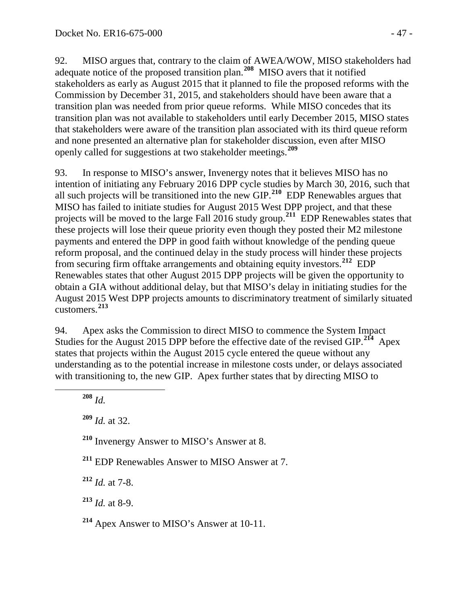92. MISO argues that, contrary to the claim of AWEA/WOW, MISO stakeholders had adequate notice of the proposed transition plan.**[208](#page-46-0)** MISO avers that it notified stakeholders as early as August 2015 that it planned to file the proposed reforms with the Commission by December 31, 2015, and stakeholders should have been aware that a transition plan was needed from prior queue reforms. While MISO concedes that its transition plan was not available to stakeholders until early December 2015, MISO states that stakeholders were aware of the transition plan associated with its third queue reform and none presented an alternative plan for stakeholder discussion, even after MISO openly called for suggestions at two stakeholder meetings.**[209](#page-46-1)**

93. In response to MISO's answer, Invenergy notes that it believes MISO has no intention of initiating any February 2016 DPP cycle studies by March 30, 2016, such that all such projects will be transitioned into the new GIP.**[210](#page-46-2)** EDP Renewables argues that MISO has failed to initiate studies for August 2015 West DPP project, and that these projects will be moved to the large Fall 2016 study group.**[211](#page-46-3)** EDP Renewables states that these projects will lose their queue priority even though they posted their M2 milestone payments and entered the DPP in good faith without knowledge of the pending queue reform proposal, and the continued delay in the study process will hinder these projects from securing firm offtake arrangements and obtaining equity investors.**[212](#page-46-4)** EDP Renewables states that other August 2015 DPP projects will be given the opportunity to obtain a GIA without additional delay, but that MISO's delay in initiating studies for the August 2015 West DPP projects amounts to discriminatory treatment of similarly situated customers.**[213](#page-46-5)**

94. Apex asks the Commission to direct MISO to commence the System Impact Studies for the August 2015 DPP before the effective date of the revised GIP.**[214](#page-46-6)** Apex states that projects within the August 2015 cycle entered the queue without any understanding as to the potential increase in milestone costs under, or delays associated with transitioning to, the new GIP. Apex further states that by directing MISO to

<span id="page-46-0"></span>**<sup>208</sup>** *Id.*

<span id="page-46-1"></span>**<sup>209</sup>** *Id.* at 32.

<span id="page-46-2"></span>**<sup>210</sup>** Invenergy Answer to MISO's Answer at 8.

<span id="page-46-3"></span>**<sup>211</sup>** EDP Renewables Answer to MISO Answer at 7.

<span id="page-46-4"></span>**<sup>212</sup>** *Id.* at 7-8.

<span id="page-46-5"></span>**<sup>213</sup>** *Id.* at 8-9.

<span id="page-46-6"></span>**<sup>214</sup>** Apex Answer to MISO's Answer at 10-11.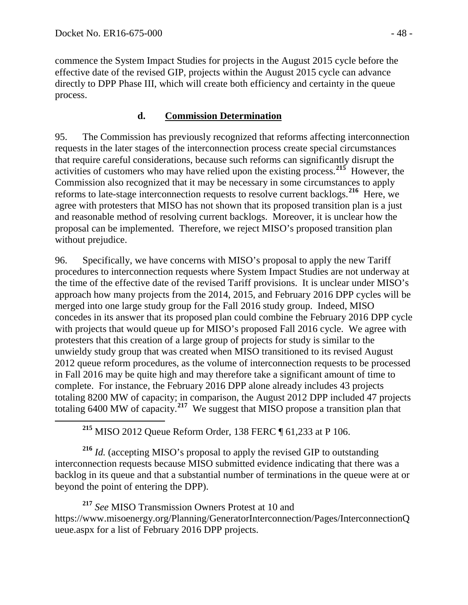commence the System Impact Studies for projects in the August 2015 cycle before the effective date of the revised GIP, projects within the August 2015 cycle can advance directly to DPP Phase III, which will create both efficiency and certainty in the queue process.

## <span id="page-47-0"></span>**d. Commission Determination**

95. The Commission has previously recognized that reforms affecting interconnection requests in the later stages of the interconnection process create special circumstances that require careful considerations, because such reforms can significantly disrupt the activities of customers who may have relied upon the existing process.**[215](#page-47-1)** However, the Commission also recognized that it may be necessary in some circumstances to apply reforms to late-stage interconnection requests to resolve current backlogs.**[216](#page-47-2)** Here, we agree with protesters that MISO has not shown that its proposed transition plan is a just and reasonable method of resolving current backlogs. Moreover, it is unclear how the proposal can be implemented. Therefore, we reject MISO's proposed transition plan without prejudice.

96. Specifically, we have concerns with MISO's proposal to apply the new Tariff procedures to interconnection requests where System Impact Studies are not underway at the time of the effective date of the revised Tariff provisions. It is unclear under MISO's approach how many projects from the 2014, 2015, and February 2016 DPP cycles will be merged into one large study group for the Fall 2016 study group. Indeed, MISO concedes in its answer that its proposed plan could combine the February 2016 DPP cycle with projects that would queue up for MISO's proposed Fall 2016 cycle. We agree with protesters that this creation of a large group of projects for study is similar to the unwieldy study group that was created when MISO transitioned to its revised August 2012 queue reform procedures, as the volume of interconnection requests to be processed in Fall 2016 may be quite high and may therefore take a significant amount of time to complete. For instance, the February 2016 DPP alone already includes 43 projects totaling 8200 MW of capacity; in comparison, the August 2012 DPP included 47 projects totaling 6400 MW of capacity.**[217](#page-47-3)** We suggest that MISO propose a transition plan that

**<sup>215</sup>** MISO 2012 Queue Reform Order*,* 138 FERC ¶ 61,233 at P 106.

<span id="page-47-2"></span><span id="page-47-1"></span>**<sup>216</sup>** *Id.* (accepting MISO's proposal to apply the revised GIP to outstanding interconnection requests because MISO submitted evidence indicating that there was a backlog in its queue and that a substantial number of terminations in the queue were at or beyond the point of entering the DPP).

<span id="page-47-3"></span>**<sup>217</sup>** *See* MISO Transmission Owners Protest at 10 and https://www.misoenergy.org/Planning/GeneratorInterconnection/Pages/InterconnectionQ ueue.aspx for a list of February 2016 DPP projects.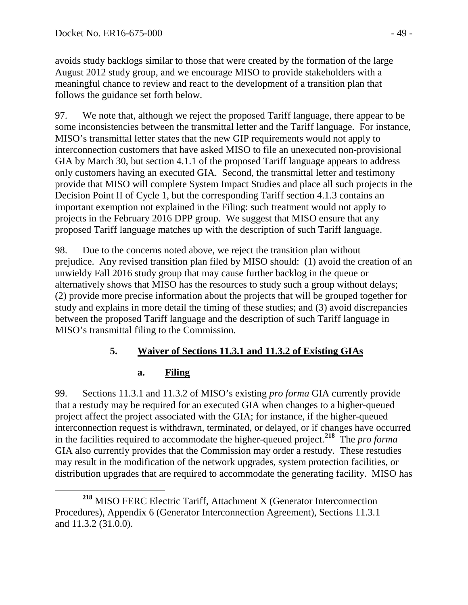avoids study backlogs similar to those that were created by the formation of the large August 2012 study group, and we encourage MISO to provide stakeholders with a meaningful chance to review and react to the development of a transition plan that follows the guidance set forth below.

97. We note that, although we reject the proposed Tariff language, there appear to be some inconsistencies between the transmittal letter and the Tariff language. For instance, MISO's transmittal letter states that the new GIP requirements would not apply to interconnection customers that have asked MISO to file an unexecuted non-provisional GIA by March 30, but section 4.1.1 of the proposed Tariff language appears to address only customers having an executed GIA. Second, the transmittal letter and testimony provide that MISO will complete System Impact Studies and place all such projects in the Decision Point II of Cycle 1, but the corresponding Tariff section 4.1.3 contains an important exemption not explained in the Filing: such treatment would not apply to projects in the February 2016 DPP group. We suggest that MISO ensure that any proposed Tariff language matches up with the description of such Tariff language.

98. Due to the concerns noted above, we reject the transition plan without prejudice. Any revised transition plan filed by MISO should: (1) avoid the creation of an unwieldy Fall 2016 study group that may cause further backlog in the queue or alternatively shows that MISO has the resources to study such a group without delays; (2) provide more precise information about the projects that will be grouped together for study and explains in more detail the timing of these studies; and (3) avoid discrepancies between the proposed Tariff language and the description of such Tariff language in MISO's transmittal filing to the Commission.

# **5. Waiver of Sections 11.3.1 and 11.3.2 of Existing GIAs**

# <span id="page-48-1"></span><span id="page-48-0"></span>**a. Filing**

99. Sections 11.3.1 and 11.3.2 of MISO's existing *pro forma* GIA currently provide that a restudy may be required for an executed GIA when changes to a higher-queued project affect the project associated with the GIA; for instance, if the higher-queued interconnection request is withdrawn, terminated, or delayed, or if changes have occurred in the facilities required to accommodate the higher-queued project.**[218](#page-48-2)** The *pro forma* GIA also currently provides that the Commission may order a restudy. These restudies may result in the modification of the network upgrades, system protection facilities, or distribution upgrades that are required to accommodate the generating facility. MISO has

<span id="page-48-2"></span>**<sup>218</sup>** MISO FERC Electric Tariff, Attachment X (Generator Interconnection Procedures), Appendix 6 (Generator Interconnection Agreement), Sections 11.3.1 and 11.3.2 (31.0.0).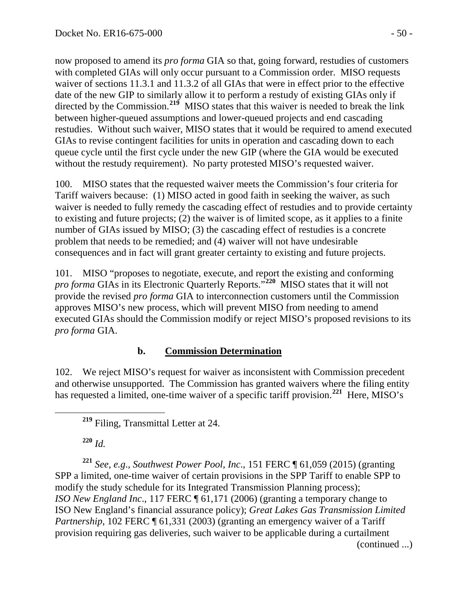now proposed to amend its *pro forma* GIA so that, going forward, restudies of customers with completed GIAs will only occur pursuant to a Commission order. MISO requests waiver of sections 11.3.1 and 11.3.2 of all GIAs that were in effect prior to the effective date of the new GIP to similarly allow it to perform a restudy of existing GIAs only if directed by the Commission.<sup>[219](#page-49-1)</sup> MISO states that this waiver is needed to break the link between higher-queued assumptions and lower-queued projects and end cascading restudies. Without such waiver, MISO states that it would be required to amend executed GIAs to revise contingent facilities for units in operation and cascading down to each queue cycle until the first cycle under the new GIP (where the GIA would be executed without the restudy requirement). No party protested MISO's requested waiver.

100. MISO states that the requested waiver meets the Commission's four criteria for Tariff waivers because: (1) MISO acted in good faith in seeking the waiver, as such waiver is needed to fully remedy the cascading effect of restudies and to provide certainty to existing and future projects; (2) the waiver is of limited scope, as it applies to a finite number of GIAs issued by MISO; (3) the cascading effect of restudies is a concrete problem that needs to be remedied; and (4) waiver will not have undesirable consequences and in fact will grant greater certainty to existing and future projects.

101. MISO "proposes to negotiate, execute, and report the existing and conforming *pro forma* GIAs in its Electronic Quarterly Reports."**[220](#page-49-2)** MISO states that it will not provide the revised *pro forma* GIA to interconnection customers until the Commission approves MISO's new process, which will prevent MISO from needing to amend executed GIAs should the Commission modify or reject MISO's proposed revisions to its *pro forma* GIA.

# <span id="page-49-0"></span>**b. Commission Determination**

102. We reject MISO's request for waiver as inconsistent with Commission precedent and otherwise unsupported. The Commission has granted waivers where the filing entity has requested a limited, one-time waiver of a specific tariff provision.<sup>[221](#page-49-3)</sup> Here, MISO's

**<sup>220</sup>** *Id.* 

<span id="page-49-3"></span><span id="page-49-2"></span><span id="page-49-1"></span>**<sup>221</sup>** *See, e.g*., *Southwest Power Pool, Inc*., 151 FERC ¶ 61,059 (2015) (granting SPP a limited, one-time waiver of certain provisions in the SPP Tariff to enable SPP to modify the study schedule for its Integrated Transmission Planning process); *ISO New England Inc*., 117 FERC ¶ 61,171 (2006) (granting a temporary change to ISO New England's financial assurance policy); *Great Lakes Gas Transmission Limited Partnership*, 102 FERC ¶ 61,331 (2003) (granting an emergency waiver of a Tariff provision requiring gas deliveries, such waiver to be applicable during a curtailment (continued ...)

**<sup>219</sup>** Filing, Transmittal Letter at 24.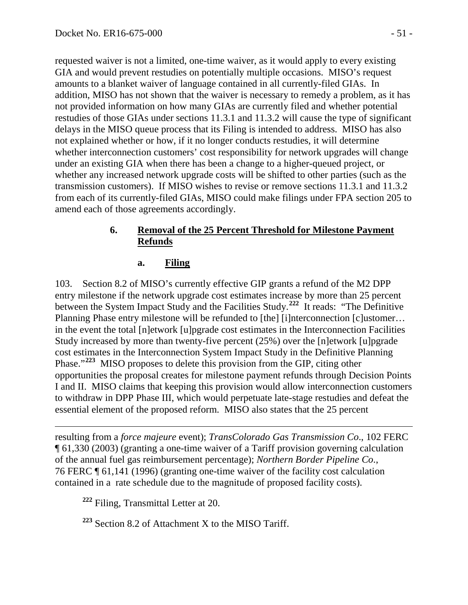requested waiver is not a limited, one-time waiver, as it would apply to every existing GIA and would prevent restudies on potentially multiple occasions. MISO's request amounts to a blanket waiver of language contained in all currently-filed GIAs. In addition, MISO has not shown that the waiver is necessary to remedy a problem, as it has not provided information on how many GIAs are currently filed and whether potential restudies of those GIAs under sections 11.3.1 and 11.3.2 will cause the type of significant delays in the MISO queue process that its Filing is intended to address. MISO has also not explained whether or how, if it no longer conducts restudies, it will determine whether interconnection customers' cost responsibility for network upgrades will change under an existing GIA when there has been a change to a higher-queued project, or whether any increased network upgrade costs will be shifted to other parties (such as the transmission customers). If MISO wishes to revise or remove sections 11.3.1 and 11.3.2 from each of its currently-filed GIAs, MISO could make filings under FPA section 205 to amend each of those agreements accordingly.

## **6. Removal of the 25 Percent Threshold for Milestone Payment Refunds**

#### <span id="page-50-1"></span><span id="page-50-0"></span>**a. Filing**

103. Section 8.2 of MISO's currently effective GIP grants a refund of the M2 DPP entry milestone if the network upgrade cost estimates increase by more than 25 percent between the System Impact Study and the Facilities Study.**[222](#page-50-2)** It reads: "The Definitive Planning Phase entry milestone will be refunded to [the] [i]nterconnection [c]ustomer... in the event the total [n]etwork [u]pgrade cost estimates in the Interconnection Facilities Study increased by more than twenty-five percent (25%) over the [n]etwork [u]pgrade cost estimates in the Interconnection System Impact Study in the Definitive Planning Phase."**[223](#page-50-3)** MISO proposes to delete this provision from the GIP, citing other opportunities the proposal creates for milestone payment refunds through Decision Points I and II. MISO claims that keeping this provision would allow interconnection customers to withdraw in DPP Phase III, which would perpetuate late-stage restudies and defeat the essential element of the proposed reform. MISO also states that the 25 percent

 $\overline{a}$ resulting from a *force majeure* event); *TransColorado Gas Transmission Co*., 102 FERC ¶ 61,330 (2003) (granting a one-time waiver of a Tariff provision governing calculation of the annual fuel gas reimbursement percentage); *Northern Border Pipeline Co*., 76 FERC ¶ 61,141 (1996) (granting one-time waiver of the facility cost calculation contained in a rate schedule due to the magnitude of proposed facility costs).

<span id="page-50-2"></span>**<sup>222</sup>** Filing, Transmittal Letter at 20.

<span id="page-50-3"></span>**<sup>223</sup>** Section 8.2 of Attachment X to the MISO Tariff.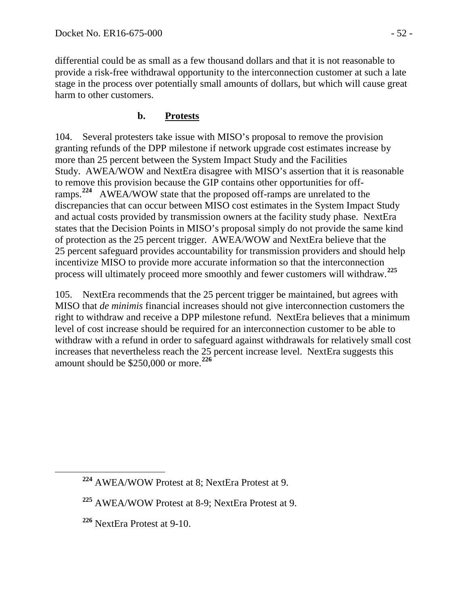differential could be as small as a few thousand dollars and that it is not reasonable to provide a risk-free withdrawal opportunity to the interconnection customer at such a late stage in the process over potentially small amounts of dollars, but which will cause great harm to other customers.

### **b. Protests**

<span id="page-51-0"></span>104. Several protesters take issue with MISO's proposal to remove the provision granting refunds of the DPP milestone if network upgrade cost estimates increase by more than 25 percent between the System Impact Study and the Facilities Study. AWEA/WOW and NextEra disagree with MISO's assertion that it is reasonable to remove this provision because the GIP contains other opportunities for off-ramps.<sup>[224](#page-51-1)</sup> AWEA/WOW state that the proposed off-ramps are unrelated to the discrepancies that can occur between MISO cost estimates in the System Impact Study and actual costs provided by transmission owners at the facility study phase. NextEra states that the Decision Points in MISO's proposal simply do not provide the same kind of protection as the 25 percent trigger. AWEA/WOW and NextEra believe that the 25 percent safeguard provides accountability for transmission providers and should help incentivize MISO to provide more accurate information so that the interconnection process will ultimately proceed more smoothly and fewer customers will withdraw.**[225](#page-51-2)**

105. NextEra recommends that the 25 percent trigger be maintained, but agrees with MISO that *de minimis* financial increases should not give interconnection customers the right to withdraw and receive a DPP milestone refund. NextEra believes that a minimum level of cost increase should be required for an interconnection customer to be able to withdraw with a refund in order to safeguard against withdrawals for relatively small cost increases that nevertheless reach the 25 percent increase level. NextEra suggests this amount should be \$250,000 or more.**[226](#page-51-3)**

<span id="page-51-1"></span>**<sup>224</sup>** AWEA/WOW Protest at 8; NextEra Protest at 9.

<span id="page-51-2"></span>**<sup>225</sup>** AWEA/WOW Protest at 8-9; NextEra Protest at 9.

<span id="page-51-3"></span>**<sup>226</sup>** NextEra Protest at 9-10.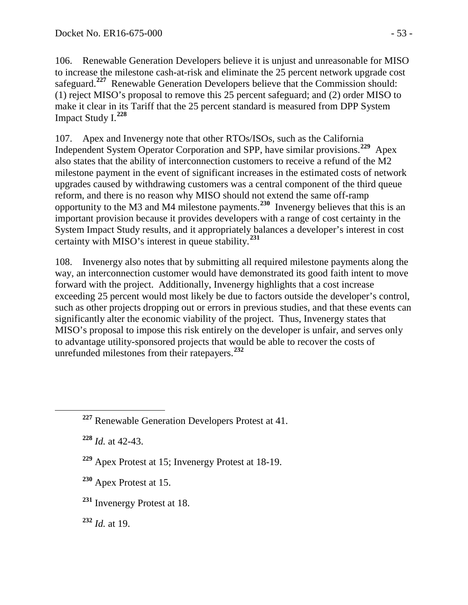106. Renewable Generation Developers believe it is unjust and unreasonable for MISO to increase the milestone cash-at-risk and eliminate the 25 percent network upgrade cost safeguard.**[227](#page-52-0)** Renewable Generation Developers believe that the Commission should: (1) reject MISO's proposal to remove this 25 percent safeguard; and (2) order MISO to make it clear in its Tariff that the 25 percent standard is measured from DPP System Impact Study I.**[228](#page-52-1)**

107. Apex and Invenergy note that other RTOs/ISOs, such as the California Independent System Operator Corporation and SPP, have similar provisions.**[229](#page-52-2)** Apex also states that the ability of interconnection customers to receive a refund of the M2 milestone payment in the event of significant increases in the estimated costs of network upgrades caused by withdrawing customers was a central component of the third queue reform, and there is no reason why MISO should not extend the same off-ramp opportunity to the M3 and M4 milestone payments. **[230](#page-52-3)** Invenergy believes that this is an important provision because it provides developers with a range of cost certainty in the System Impact Study results, and it appropriately balances a developer's interest in cost certainty with MISO's interest in queue stability.**[231](#page-52-4)**

108. Invenergy also notes that by submitting all required milestone payments along the way, an interconnection customer would have demonstrated its good faith intent to move forward with the project. Additionally, Invenergy highlights that a cost increase exceeding 25 percent would most likely be due to factors outside the developer's control, such as other projects dropping out or errors in previous studies, and that these events can significantly alter the economic viability of the project. Thus, Invenergy states that MISO's proposal to impose this risk entirely on the developer is unfair, and serves only to advantage utility-sponsored projects that would be able to recover the costs of unrefunded milestones from their ratepayers.**[232](#page-52-5)**

<span id="page-52-1"></span>**<sup>228</sup>** *Id.* at 42-43.

- <span id="page-52-2"></span>**<sup>229</sup>** Apex Protest at 15; Invenergy Protest at 18-19.
- <span id="page-52-3"></span>**<sup>230</sup>** Apex Protest at 15.
- <span id="page-52-4"></span>**<sup>231</sup>** Invenergy Protest at 18.

<span id="page-52-5"></span>**<sup>232</sup>** *Id.* at 19.

<span id="page-52-0"></span>**<sup>227</sup>** Renewable Generation Developers Protest at 41.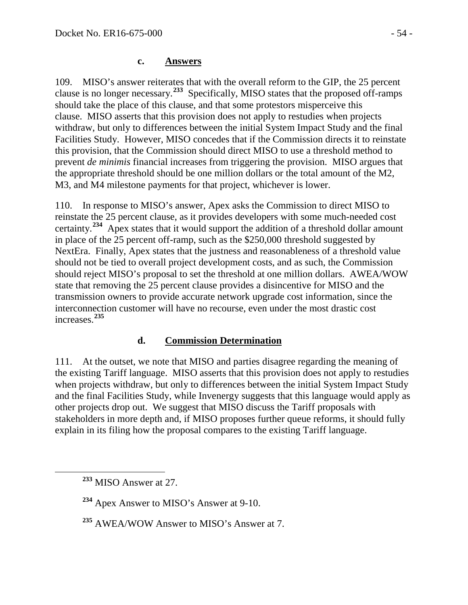#### <span id="page-53-0"></span>**c. Answers**

109. MISO's answer reiterates that with the overall reform to the GIP, the 25 percent clause is no longer necessary.**[233](#page-53-2)** Specifically, MISO states that the proposed off-ramps should take the place of this clause, and that some protestors misperceive this clause. MISO asserts that this provision does not apply to restudies when projects withdraw, but only to differences between the initial System Impact Study and the final Facilities Study. However, MISO concedes that if the Commission directs it to reinstate this provision, that the Commission should direct MISO to use a threshold method to prevent *de minimis* financial increases from triggering the provision. MISO argues that the appropriate threshold should be one million dollars or the total amount of the M2, M3, and M4 milestone payments for that project, whichever is lower.

110. In response to MISO's answer, Apex asks the Commission to direct MISO to reinstate the 25 percent clause, as it provides developers with some much-needed cost certainty.**[234](#page-53-3)** Apex states that it would support the addition of a threshold dollar amount in place of the 25 percent off-ramp, such as the \$250,000 threshold suggested by NextEra. Finally, Apex states that the justness and reasonableness of a threshold value should not be tied to overall project development costs, and as such, the Commission should reject MISO's proposal to set the threshold at one million dollars. AWEA/WOW state that removing the 25 percent clause provides a disincentive for MISO and the transmission owners to provide accurate network upgrade cost information, since the interconnection customer will have no recourse, even under the most drastic cost increases.**[235](#page-53-4)**

### <span id="page-53-1"></span>**d. Commission Determination**

111. At the outset, we note that MISO and parties disagree regarding the meaning of the existing Tariff language. MISO asserts that this provision does not apply to restudies when projects withdraw, but only to differences between the initial System Impact Study and the final Facilities Study, while Invenergy suggests that this language would apply as other projects drop out. We suggest that MISO discuss the Tariff proposals with stakeholders in more depth and, if MISO proposes further queue reforms, it should fully explain in its filing how the proposal compares to the existing Tariff language.

<span id="page-53-2"></span>**<sup>233</sup>** MISO Answer at 27.

<span id="page-53-3"></span>**<sup>234</sup>** Apex Answer to MISO's Answer at 9-10.

<span id="page-53-4"></span>**<sup>235</sup>** AWEA/WOW Answer to MISO's Answer at 7.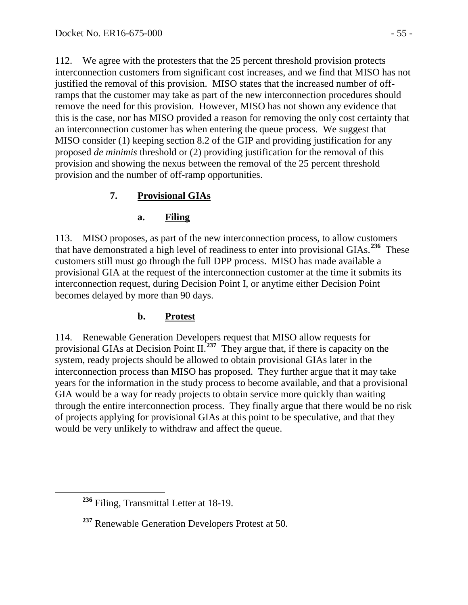112. We agree with the protesters that the 25 percent threshold provision protects interconnection customers from significant cost increases, and we find that MISO has not justified the removal of this provision. MISO states that the increased number of offramps that the customer may take as part of the new interconnection procedures should remove the need for this provision. However, MISO has not shown any evidence that this is the case, nor has MISO provided a reason for removing the only cost certainty that an interconnection customer has when entering the queue process. We suggest that MISO consider (1) keeping section 8.2 of the GIP and providing justification for any proposed *de minimis* threshold or (2) providing justification for the removal of this provision and showing the nexus between the removal of the 25 percent threshold provision and the number of off-ramp opportunities.

# **7. Provisional GIAs**

# <span id="page-54-1"></span><span id="page-54-0"></span>**a. Filing**

113. MISO proposes, as part of the new interconnection process, to allow customers that have demonstrated a high level of readiness to enter into provisional GIAs. **[236](#page-54-3)** These customers still must go through the full DPP process. MISO has made available a provisional GIA at the request of the interconnection customer at the time it submits its interconnection request, during Decision Point I, or anytime either Decision Point becomes delayed by more than 90 days.

# **b. Protest**

<span id="page-54-2"></span>114. Renewable Generation Developers request that MISO allow requests for provisional GIAs at Decision Point II.**[237](#page-54-4)** They argue that, if there is capacity on the system, ready projects should be allowed to obtain provisional GIAs later in the interconnection process than MISO has proposed. They further argue that it may take years for the information in the study process to become available, and that a provisional GIA would be a way for ready projects to obtain service more quickly than waiting through the entire interconnection process. They finally argue that there would be no risk of projects applying for provisional GIAs at this point to be speculative, and that they would be very unlikely to withdraw and affect the queue.

<span id="page-54-3"></span>**<sup>236</sup>** Filing, Transmittal Letter at 18-19.

<span id="page-54-4"></span>**<sup>237</sup>** Renewable Generation Developers Protest at 50.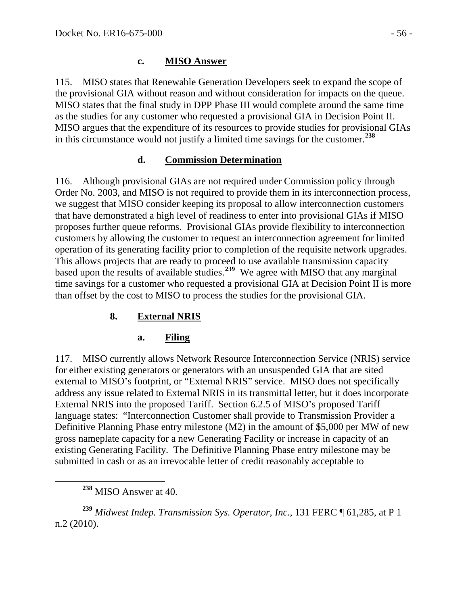115. MISO states that Renewable Generation Developers seek to expand the scope of the provisional GIA without reason and without consideration for impacts on the queue. MISO states that the final study in DPP Phase III would complete around the same time as the studies for any customer who requested a provisional GIA in Decision Point II. MISO argues that the expenditure of its resources to provide studies for provisional GIAs in this circumstance would not justify a limited time savings for the customer.**[238](#page-55-4)**

# <span id="page-55-1"></span><span id="page-55-0"></span>**d. Commission Determination**

116. Although provisional GIAs are not required under Commission policy through Order No. 2003, and MISO is not required to provide them in its interconnection process, we suggest that MISO consider keeping its proposal to allow interconnection customers that have demonstrated a high level of readiness to enter into provisional GIAs if MISO proposes further queue reforms. Provisional GIAs provide flexibility to interconnection customers by allowing the customer to request an interconnection agreement for limited operation of its generating facility prior to completion of the requisite network upgrades. This allows projects that are ready to proceed to use available transmission capacity based upon the results of available studies.<sup>[239](#page-55-5)</sup> We agree with MISO that any marginal time savings for a customer who requested a provisional GIA at Decision Point II is more than offset by the cost to MISO to process the studies for the provisional GIA.

# **8. External NRIS**

# <span id="page-55-3"></span><span id="page-55-2"></span>**a. Filing**

117. MISO currently allows Network Resource Interconnection Service (NRIS) service for either existing generators or generators with an unsuspended GIA that are sited external to MISO's footprint, or "External NRIS" service. MISO does not specifically address any issue related to External NRIS in its transmittal letter, but it does incorporate External NRIS into the proposed Tariff. Section 6.2.5 of MISO's proposed Tariff language states: "Interconnection Customer shall provide to Transmission Provider a Definitive Planning Phase entry milestone (M2) in the amount of \$5,000 per MW of new gross nameplate capacity for a new Generating Facility or increase in capacity of an existing Generating Facility. The Definitive Planning Phase entry milestone may be submitted in cash or as an irrevocable letter of credit reasonably acceptable to

<span id="page-55-5"></span><span id="page-55-4"></span>**<sup>239</sup>** *Midwest Indep. Transmission Sys. Operator, Inc.*, 131 FERC ¶ 61,285, at P 1 n.2 (2010).

**<sup>238</sup>** MISO Answer at 40.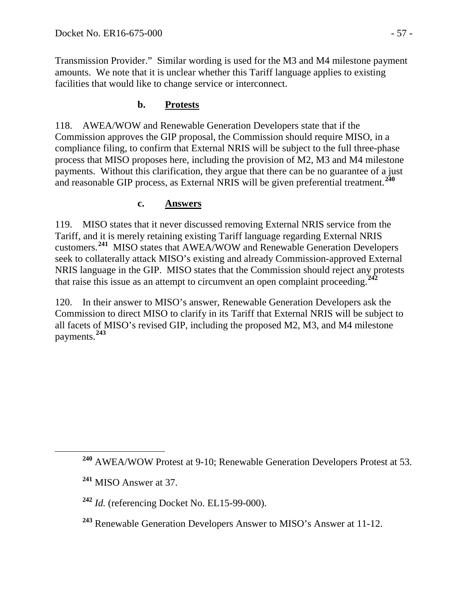Transmission Provider." Similar wording is used for the M3 and M4 milestone payment amounts. We note that it is unclear whether this Tariff language applies to existing facilities that would like to change service or interconnect.

# **b. Protests**

<span id="page-56-0"></span>118. AWEA/WOW and Renewable Generation Developers state that if the Commission approves the GIP proposal, the Commission should require MISO, in a compliance filing, to confirm that External NRIS will be subject to the full three-phase process that MISO proposes here, including the provision of M2, M3 and M4 milestone payments. Without this clarification, they argue that there can be no guarantee of a just and reasonable GIP process, as External NRIS will be given preferential treatment.**[240](#page-56-2)**

### <span id="page-56-1"></span>**c. Answers**

119. MISO states that it never discussed removing External NRIS service from the Tariff, and it is merely retaining existing Tariff language regarding External NRIS customers.**[241](#page-56-3)** MISO states that AWEA/WOW and Renewable Generation Developers seek to collaterally attack MISO's existing and already Commission-approved External NRIS language in the GIP. MISO states that the Commission should reject any protests that raise this issue as an attempt to circumvent an open complaint proceeding.**[242](#page-56-4)**

120. In their answer to MISO's answer, Renewable Generation Developers ask the Commission to direct MISO to clarify in its Tariff that External NRIS will be subject to all facets of MISO's revised GIP, including the proposed M2, M3, and M4 milestone payments.**[243](#page-56-5)**

<span id="page-56-2"></span>**<sup>240</sup>** AWEA/WOW Protest at 9-10; Renewable Generation Developers Protest at 53.

<span id="page-56-3"></span>**<sup>241</sup>** MISO Answer at 37.

<span id="page-56-4"></span>**<sup>242</sup>** *Id.* (referencing Docket No. EL15-99-000).

<span id="page-56-5"></span>**<sup>243</sup>** Renewable Generation Developers Answer to MISO's Answer at 11-12.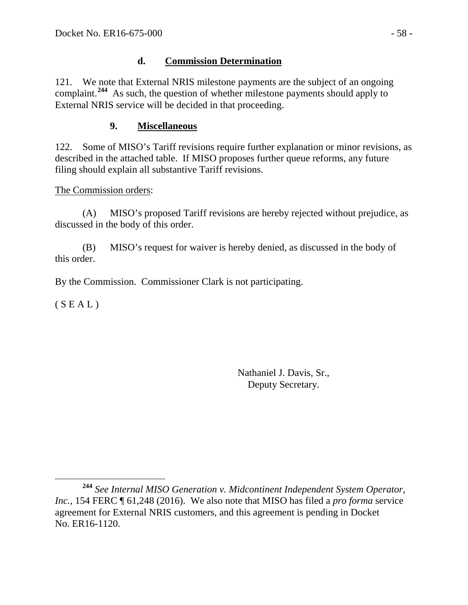## <span id="page-57-0"></span>**d. Commission Determination**

121. We note that External NRIS milestone payments are the subject of an ongoing complaint.<sup>[244](#page-57-2)</sup> As such, the question of whether milestone payments should apply to External NRIS service will be decided in that proceeding.

# <span id="page-57-1"></span>**9. Miscellaneous**

122. Some of MISO's Tariff revisions require further explanation or minor revisions, as described in the attached table. If MISO proposes further queue reforms, any future filing should explain all substantive Tariff revisions.

### The Commission orders:

(A) MISO's proposed Tariff revisions are hereby rejected without prejudice, as discussed in the body of this order.

(B) MISO's request for waiver is hereby denied, as discussed in the body of this order.

By the Commission. Commissioner Clark is not participating.

 $(S E A L)$ 

Nathaniel J. Davis, Sr., Deputy Secretary.

<span id="page-57-2"></span>**<sup>244</sup>** *See Internal MISO Generation v. Midcontinent Independent System Operator, Inc.*, 154 FERC ¶ 61,248 (2016). We also note that MISO has filed a *pro forma* service agreement for External NRIS customers, and this agreement is pending in Docket No. ER16-1120.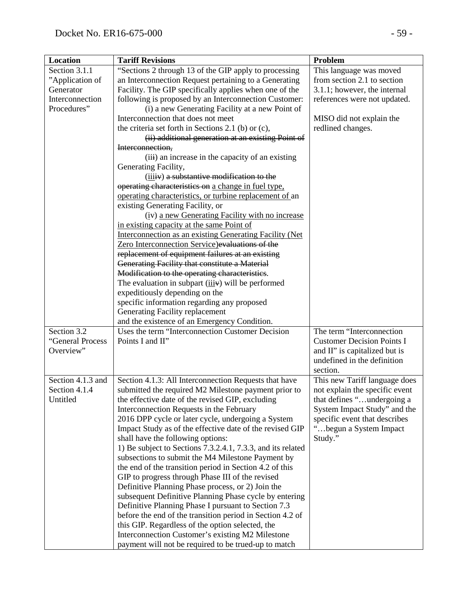| Section 3.1.1<br>"Sections 2 through 13 of the GIP apply to processing<br>This language was moved<br>an Interconnection Request pertaining to a Generating<br>from section 2.1 to section<br>"Application of<br>Facility. The GIP specifically applies when one of the<br>3.1.1; however, the internal<br>Generator<br>Interconnection<br>following is proposed by an Interconnection Customer:<br>references were not updated. |
|---------------------------------------------------------------------------------------------------------------------------------------------------------------------------------------------------------------------------------------------------------------------------------------------------------------------------------------------------------------------------------------------------------------------------------|
|                                                                                                                                                                                                                                                                                                                                                                                                                                 |
|                                                                                                                                                                                                                                                                                                                                                                                                                                 |
|                                                                                                                                                                                                                                                                                                                                                                                                                                 |
|                                                                                                                                                                                                                                                                                                                                                                                                                                 |
| Procedures"<br>(i) a new Generating Facility at a new Point of                                                                                                                                                                                                                                                                                                                                                                  |
| Interconnection that does not meet<br>MISO did not explain the                                                                                                                                                                                                                                                                                                                                                                  |
| the criteria set forth in Sections 2.1 (b) or $(c)$ ,<br>redlined changes.                                                                                                                                                                                                                                                                                                                                                      |
| (ii) additional generation at an existing Point of                                                                                                                                                                                                                                                                                                                                                                              |
| Interconnection,                                                                                                                                                                                                                                                                                                                                                                                                                |
| (iii) an increase in the capacity of an existing                                                                                                                                                                                                                                                                                                                                                                                |
| Generating Facility,                                                                                                                                                                                                                                                                                                                                                                                                            |
| (iiiiv) a substantive modification to the                                                                                                                                                                                                                                                                                                                                                                                       |
| operating characteristics on a change in fuel type,                                                                                                                                                                                                                                                                                                                                                                             |
| operating characteristics, or turbine replacement of an                                                                                                                                                                                                                                                                                                                                                                         |
| existing Generating Facility, or                                                                                                                                                                                                                                                                                                                                                                                                |
| (iv) a new Generating Facility with no increase                                                                                                                                                                                                                                                                                                                                                                                 |
| in existing capacity at the same Point of                                                                                                                                                                                                                                                                                                                                                                                       |
| Interconnection as an existing Generating Facility (Net                                                                                                                                                                                                                                                                                                                                                                         |
| Zero Interconnection Service) evaluations of the                                                                                                                                                                                                                                                                                                                                                                                |
| replacement of equipment failures at an existing                                                                                                                                                                                                                                                                                                                                                                                |
| Generating Facility that constitute a Material                                                                                                                                                                                                                                                                                                                                                                                  |
| Modification to the operating characteristics.                                                                                                                                                                                                                                                                                                                                                                                  |
| The evaluation in subpart $(iiiiv)$ will be performed                                                                                                                                                                                                                                                                                                                                                                           |
| expeditiously depending on the                                                                                                                                                                                                                                                                                                                                                                                                  |
| specific information regarding any proposed                                                                                                                                                                                                                                                                                                                                                                                     |
| Generating Facility replacement                                                                                                                                                                                                                                                                                                                                                                                                 |
| and the existence of an Emergency Condition.                                                                                                                                                                                                                                                                                                                                                                                    |
| Section 3.2<br>The term "Interconnection<br>Uses the term "Interconnection Customer Decision                                                                                                                                                                                                                                                                                                                                    |
| Points I and II"<br>"General Process<br><b>Customer Decision Points I</b>                                                                                                                                                                                                                                                                                                                                                       |
| Overview"<br>and II" is capitalized but is                                                                                                                                                                                                                                                                                                                                                                                      |
| undefined in the definition                                                                                                                                                                                                                                                                                                                                                                                                     |
| section.                                                                                                                                                                                                                                                                                                                                                                                                                        |
| Section 4.1.3 and<br>Section 4.1.3: All Interconnection Requests that have<br>This new Tariff language does                                                                                                                                                                                                                                                                                                                     |
| Section 4.1.4<br>submitted the required M2 Milestone payment prior to<br>not explain the specific event                                                                                                                                                                                                                                                                                                                         |
| Untitled<br>the effective date of the revised GIP, excluding<br>that defines "undergoing a                                                                                                                                                                                                                                                                                                                                      |
| Interconnection Requests in the February<br>System Impact Study" and the                                                                                                                                                                                                                                                                                                                                                        |
| specific event that describes<br>2016 DPP cycle or later cycle, undergoing a System                                                                                                                                                                                                                                                                                                                                             |
| Impact Study as of the effective date of the revised GIP<br>begun a System Impact                                                                                                                                                                                                                                                                                                                                               |
| shall have the following options:<br>Study."                                                                                                                                                                                                                                                                                                                                                                                    |
| 1) Be subject to Sections 7.3.2.4.1, 7.3.3, and its related                                                                                                                                                                                                                                                                                                                                                                     |
| subsections to submit the M4 Milestone Payment by                                                                                                                                                                                                                                                                                                                                                                               |
| the end of the transition period in Section 4.2 of this                                                                                                                                                                                                                                                                                                                                                                         |
| GIP to progress through Phase III of the revised                                                                                                                                                                                                                                                                                                                                                                                |
| Definitive Planning Phase process, or 2) Join the                                                                                                                                                                                                                                                                                                                                                                               |
| subsequent Definitive Planning Phase cycle by entering                                                                                                                                                                                                                                                                                                                                                                          |
| Definitive Planning Phase I pursuant to Section 7.3                                                                                                                                                                                                                                                                                                                                                                             |
| before the end of the transition period in Section 4.2 of<br>this GIP. Regardless of the option selected, the                                                                                                                                                                                                                                                                                                                   |
|                                                                                                                                                                                                                                                                                                                                                                                                                                 |
| Interconnection Customer's existing M2 Milestone<br>payment will not be required to be trued-up to match                                                                                                                                                                                                                                                                                                                        |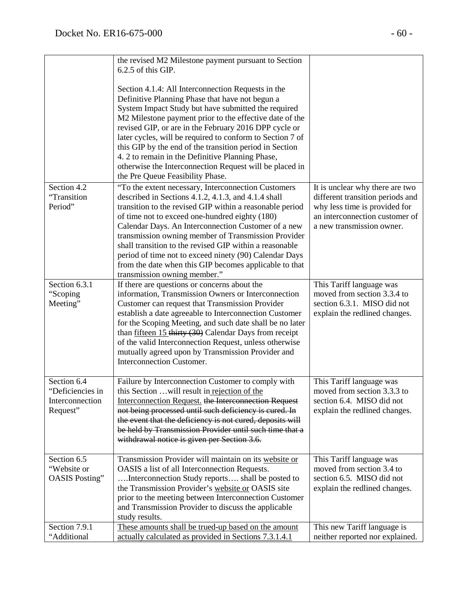|                                                                | the revised M2 Milestone payment pursuant to Section<br>6.2.5 of this GIP.                                                                                                                                                                                                                                                                                                                                                                                                                                                                                  |                                                                                                                                                                     |
|----------------------------------------------------------------|-------------------------------------------------------------------------------------------------------------------------------------------------------------------------------------------------------------------------------------------------------------------------------------------------------------------------------------------------------------------------------------------------------------------------------------------------------------------------------------------------------------------------------------------------------------|---------------------------------------------------------------------------------------------------------------------------------------------------------------------|
|                                                                | Section 4.1.4: All Interconnection Requests in the<br>Definitive Planning Phase that have not begun a<br>System Impact Study but have submitted the required<br>M2 Milestone payment prior to the effective date of the<br>revised GIP, or are in the February 2016 DPP cycle or<br>later cycles, will be required to conform to Section 7 of<br>this GIP by the end of the transition period in Section<br>4. 2 to remain in the Definitive Planning Phase,<br>otherwise the Interconnection Request will be placed in<br>the Pre Queue Feasibility Phase. |                                                                                                                                                                     |
| Section 4.2<br>"Transition<br>Period"                          | "To the extent necessary, Interconnection Customers<br>described in Sections 4.1.2, 4.1.3, and 4.1.4 shall<br>transition to the revised GIP within a reasonable period<br>of time not to exceed one-hundred eighty (180)<br>Calendar Days. An Interconnection Customer of a new<br>transmission owning member of Transmission Provider<br>shall transition to the revised GIP within a reasonable<br>period of time not to exceed ninety (90) Calendar Days<br>from the date when this GIP becomes applicable to that<br>transmission owning member."       | It is unclear why there are two<br>different transition periods and<br>why less time is provided for<br>an interconnection customer of<br>a new transmission owner. |
| Section 6.3.1<br>"Scoping<br>Meeting"                          | If there are questions or concerns about the<br>information, Transmission Owners or Interconnection<br>Customer can request that Transmission Provider<br>establish a date agreeable to Interconnection Customer<br>for the Scoping Meeting, and such date shall be no later<br>than $fifteen 15$ thirty (30) Calendar Days from receipt<br>of the valid Interconnection Request, unless otherwise<br>mutually agreed upon by Transmission Provider and<br>Interconnection Customer.                                                                        | This Tariff language was<br>moved from section 3.3.4 to<br>section 6.3.1. MISO did not<br>explain the redlined changes.                                             |
| Section 6.4<br>"Deficiencies in<br>Interconnection<br>Request" | Failure by Interconnection Customer to comply with<br>this Section  will result in rejection of the<br>Interconnection Request. the Interconnection Request<br>not being processed until such deficiency is cured. In<br>the event that the deficiency is not cured, deposits will<br>be held by Transmission Provider until such time that a<br>withdrawal notice is given per Section 3.6.                                                                                                                                                                | This Tariff language was<br>moved from section 3.3.3 to<br>section 6.4. MISO did not<br>explain the redlined changes.                                               |
| Section 6.5<br>"Website or<br><b>OASIS</b> Posting"            | Transmission Provider will maintain on its website or<br>OASIS a list of all Interconnection Requests.<br>Interconnection Study reports shall be posted to<br>the Transmission Provider's website or OASIS site<br>prior to the meeting between Interconnection Customer<br>and Transmission Provider to discuss the applicable<br>study results.                                                                                                                                                                                                           | This Tariff language was<br>moved from section 3.4 to<br>section 6.5. MISO did not<br>explain the redlined changes.                                                 |
| Section 7.9.1<br>"Additional                                   | These amounts shall be trued-up based on the amount<br>actually calculated as provided in Sections 7.3.1.4.1                                                                                                                                                                                                                                                                                                                                                                                                                                                | This new Tariff language is<br>neither reported nor explained.                                                                                                      |